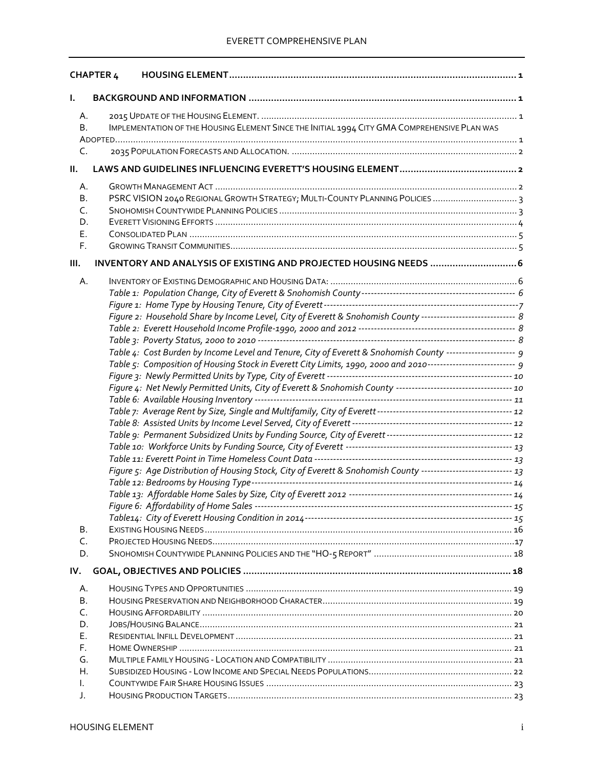|      | <b>CHAPTER 4</b>                                                                                               |  |
|------|----------------------------------------------------------------------------------------------------------------|--|
| ı.   |                                                                                                                |  |
| А.   |                                                                                                                |  |
| В.   | IMPLEMENTATION OF THE HOUSING ELEMENT SINCE THE INITIAL 1994 CITY GMA COMPREHENSIVE PLAN WAS                   |  |
|      |                                                                                                                |  |
| C.   |                                                                                                                |  |
| Ш.   |                                                                                                                |  |
|      |                                                                                                                |  |
| А.   |                                                                                                                |  |
| В.   |                                                                                                                |  |
| C.   |                                                                                                                |  |
| D.   |                                                                                                                |  |
| Е.   |                                                                                                                |  |
| F.   |                                                                                                                |  |
| III. | INVENTORY AND ANALYSIS OF EXISTING AND PROJECTED HOUSING NEEDS  6                                              |  |
| Α.   |                                                                                                                |  |
|      |                                                                                                                |  |
|      |                                                                                                                |  |
|      | Figure 2: Household Share by Income Level, City of Everett & Snohomish County ----------------------------- 8  |  |
|      |                                                                                                                |  |
|      |                                                                                                                |  |
|      | Table 4: Cost Burden by Income Level and Tenure, City of Everett & Snohomish County --------------------- 9    |  |
|      | Table 5: Composition of Housing Stock in Everett City Limits, 1990, 2000 and 2010--------------------------- 9 |  |
|      |                                                                                                                |  |
|      | Figure 4: Net Newly Permitted Units, City of Everett & Snohomish County ----------------------------------- 10 |  |
|      |                                                                                                                |  |
|      |                                                                                                                |  |
|      |                                                                                                                |  |
|      |                                                                                                                |  |
|      |                                                                                                                |  |
|      |                                                                                                                |  |
|      | Figure 5: Age Distribution of Housing Stock, City of Everett & Snohomish County --------------------------- 13 |  |
|      |                                                                                                                |  |
|      |                                                                                                                |  |
|      |                                                                                                                |  |
|      |                                                                                                                |  |
| В.   |                                                                                                                |  |
| C.   |                                                                                                                |  |
| D.   |                                                                                                                |  |
| IV.  |                                                                                                                |  |
| А.   |                                                                                                                |  |
| В.   |                                                                                                                |  |
| C.   |                                                                                                                |  |
| D.   |                                                                                                                |  |
| Е.   |                                                                                                                |  |
| F.   |                                                                                                                |  |
| G.   |                                                                                                                |  |
| Н.   |                                                                                                                |  |
| I.   |                                                                                                                |  |
| J.   |                                                                                                                |  |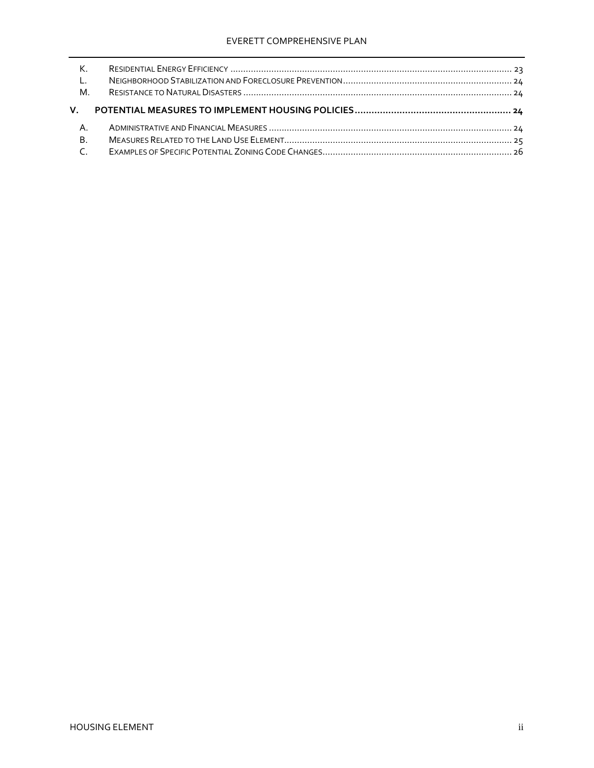| $K$ .     |  |
|-----------|--|
| $-L$ .    |  |
| M.        |  |
| V.        |  |
|           |  |
| A.        |  |
| <b>B.</b> |  |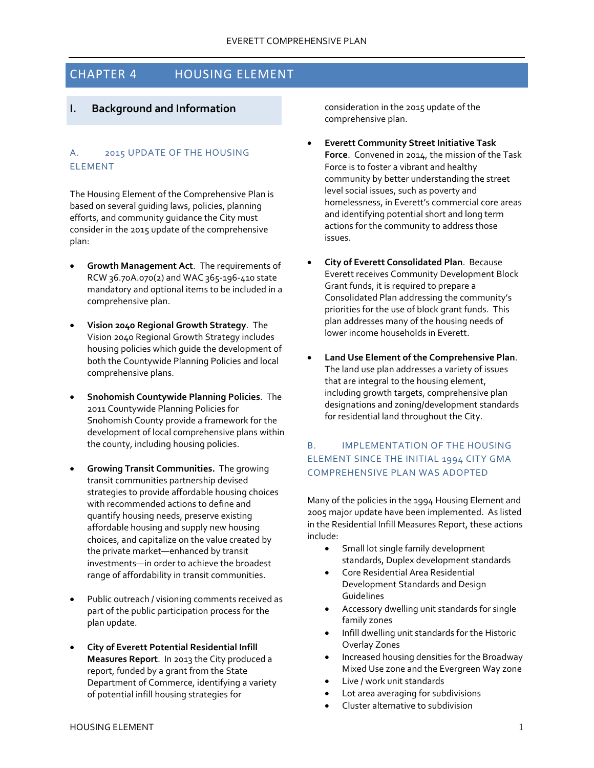# <span id="page-2-0"></span>CHAPTER 4 HOUSING ELEMENT

# <span id="page-2-1"></span>**I. Background and Information**

## <span id="page-2-2"></span>A. 2015 UPDATE OF THE HOUSING ELEMENT

The Housing Element of the Comprehensive Plan is based on several guiding laws, policies, planning efforts, and community guidance the City must consider in the 2015 update of the comprehensive plan:

- **Growth Management Act**. The requirements of RCW 36.70A.070(2) and WAC 365-196-410 state mandatory and optional items to be included in a comprehensive plan.
- **Vision 2040 Regional Growth Strategy**. The Vision 2040 Regional Growth Strategy includes housing policies which guide the development of both the Countywide Planning Policies and local comprehensive plans.
- **Snohomish Countywide Planning Policies**. The 2011 Countywide Planning Policies for Snohomish County provide a framework for the development of local comprehensive plans within the county, including housing policies.
- **Growing Transit Communities.** The growing transit communities partnership devised strategies to provide affordable housing choices with recommended actions to define and quantify housing needs, preserve existing affordable housing and supply new housing choices, and capitalize on the value created by the private market—enhanced by transit investments—in order to achieve the broadest range of affordability in transit communities.
- Public outreach / visioning comments received as part of the public participation process for the plan update.
- **City of Everett Potential Residential Infill Measures Report**. In 2013 the City produced a report, funded by a grant from the State Department of Commerce, identifying a variety of potential infill housing strategies for

consideration in the 2015 update of the comprehensive plan.

- **Everett Community Street Initiative Task Force**. Convened in 2014, the mission of the Task Force is to foster a vibrant and healthy community by better understanding the street level social issues, such as poverty and homelessness, in Everett's commercial core areas and identifying potential short and long term actions for the community to address those issues.
- **City of Everett Consolidated Plan**. Because Everett receives Community Development Block Grant funds, it is required to prepare a Consolidated Plan addressing the community's priorities for the use of block grant funds. This plan addresses many of the housing needs of lower income households in Everett.
- **Land Use Element of the Comprehensive Plan**. The land use plan addresses a variety of issues that are integral to the housing element, including growth targets, comprehensive plan designations and zoning/development standards for residential land throughout the City.

# <span id="page-2-3"></span>B. IMPLEMENTATION OF THE HOUSING ELEMENT SINCE THE INITIAL 1994 CITY GMA COMPREHENSIVE PLAN WAS ADOPTED

Many of the policies in the 1994 Housing Element and 2005 major update have been implemented. As listed in the Residential Infill Measures Report, these actions include:

- Small lot single family development standards, Duplex development standards
- Core Residential Area Residential Development Standards and Design Guidelines
- Accessory dwelling unit standards for single family zones
- Infill dwelling unit standards for the Historic Overlay Zones
- Increased housing densities for the Broadway Mixed Use zone and the Evergreen Way zone
- Live / work unit standards
- Lot area averaging for subdivisions
- Cluster alternative to subdivision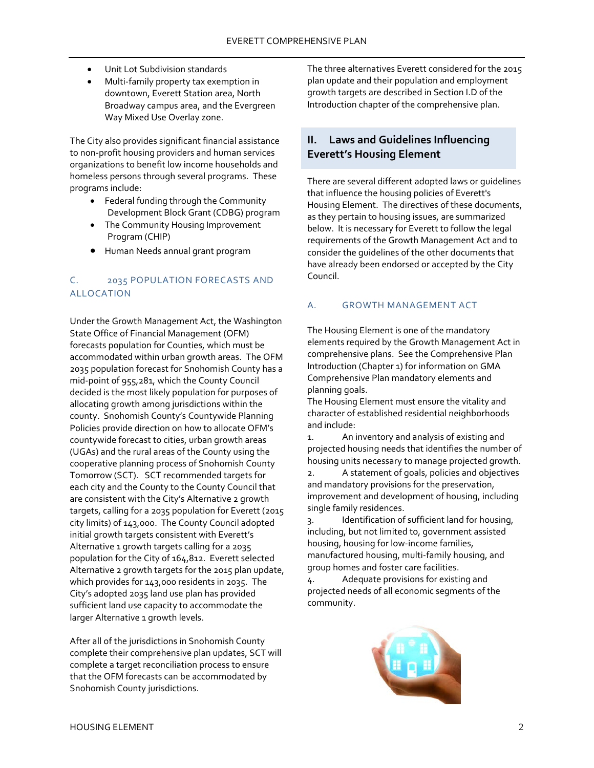- Unit Lot Subdivision standards
- Multi-family property tax exemption in downtown, Everett Station area, North Broadway campus area, and the Evergreen Way Mixed Use Overlay zone.

The City also provides significant financial assistance to non-profit housing providers and human services organizations to benefit low income households and homeless persons through several programs. These programs include:

- Federal funding through the Community Development Block Grant (CDBG) program
- The Community Housing Improvement Program (CHIP)
- Human Needs annual grant program

# <span id="page-3-0"></span>C. 2035 POPULATION FORECASTS AND ALLOCATION

Under the Growth Management Act, the Washington State Office of Financial Management (OFM) forecasts population for Counties, which must be accommodated within urban growth areas. The OFM 2035 population forecast for Snohomish County has a mid-point of 955,281, which the County Council decided is the most likely population for purposes of allocating growth among jurisdictions within the county. Snohomish County's Countywide Planning Policies provide direction on how to allocate OFM's countywide forecast to cities, urban growth areas (UGAs) and the rural areas of the County using the cooperative planning process of Snohomish County Tomorrow (SCT). SCT recommended targets for each city and the County to the County Council that are consistent with the City's Alternative 2 growth targets, calling for a 2035 population for Everett (2015 city limits) of 143,000. The County Council adopted initial growth targets consistent with Everett's Alternative 1 growth targets calling for a 2035 population for the City of 164,812. Everett selected Alternative 2 growth targets for the 2015 plan update, which provides for 143,000 residents in 2035. The City's adopted 2035 land use plan has provided sufficient land use capacity to accommodate the larger Alternative 1 growth levels.

After all of the jurisdictions in Snohomish County complete their comprehensive plan updates, SCT will complete a target reconciliation process to ensure that the OFM forecasts can be accommodated by Snohomish County jurisdictions.

The three alternatives Everett considered for the 2015 plan update and their population and employment growth targets are described in Section I.D of the Introduction chapter of the comprehensive plan.

# <span id="page-3-1"></span>**II. Laws and Guidelines Influencing Everett's Housing Element**

There are several different adopted laws or guidelines that influence the housing policies of Everett's Housing Element. The directives of these documents, as they pertain to housing issues, are summarized below. It is necessary for Everett to follow the legal requirements of the Growth Management Act and to consider the guidelines of the other documents that have already been endorsed or accepted by the City Council.

## <span id="page-3-2"></span>A. GROWTH MANAGEMENT ACT

The Housing Element is one of the mandatory elements required by the Growth Management Act in comprehensive plans. See the Comprehensive Plan Introduction (Chapter 1) for information on GMA Comprehensive Plan mandatory elements and planning goals.

The Housing Element must ensure the vitality and character of established residential neighborhoods and include:

1. An inventory and analysis of existing and projected housing needs that identifies the number of housing units necessary to manage projected growth.

2. A statement of goals, policies and objectives and mandatory provisions for the preservation, improvement and development of housing, including single family residences.

3. Identification of sufficient land for housing, including, but not limited to, government assisted housing, housing for low-income families, manufactured housing, multi-family housing, and group homes and foster care facilities.

4. Adequate provisions for existing and projected needs of all economic segments of the community.

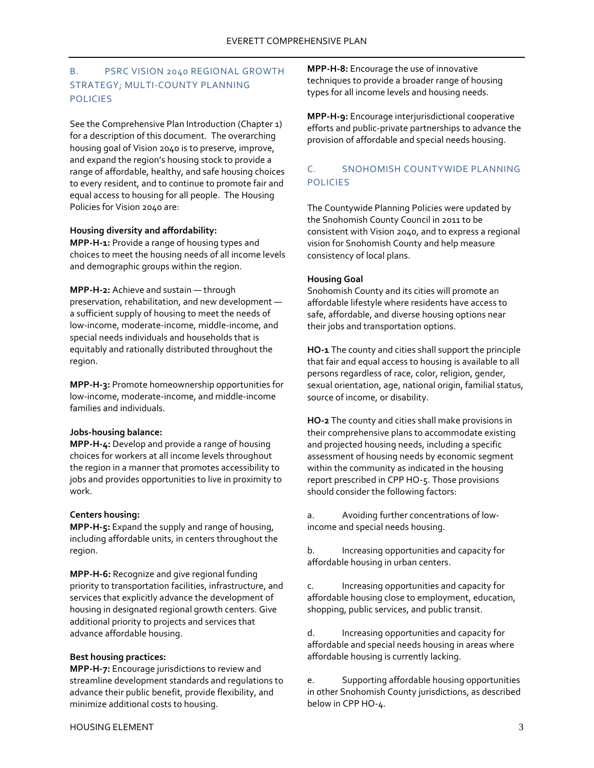# <span id="page-4-0"></span>B. PSRC VISION 2040 REGIONAL GROWTH STRATEGY; MULTI-COUNTY PLANNING POLICIES

See the Comprehensive Plan Introduction (Chapter 1) for a description of this document. The overarching housing goal of Vision 2040 is to preserve, improve, and expand the region's housing stock to provide a range of affordable, healthy, and safe housing choices to every resident, and to continue to promote fair and equal access to housing for all people. The Housing Policies for Vision 2040 are:

### **Housing diversity and affordability:**

**MPP-H-1:** Provide a range of housing types and choices to meet the housing needs of all income levels and demographic groups within the region.

**MPP-H-2:** Achieve and sustain — through preservation, rehabilitation, and new development a sufficient supply of housing to meet the needs of low-income, moderate-income, middle-income, and special needs individuals and households that is equitably and rationally distributed throughout the region.

**MPP-H-3:** Promote homeownership opportunities for low-income, moderate-income, and middle-income families and individuals.

### **Jobs-housing balance:**

**MPP-H-4:** Develop and provide a range of housing choices for workers at all income levels throughout the region in a manner that promotes accessibility to jobs and provides opportunities to live in proximity to work.

### **Centers housing:**

**MPP-H-5:** Expand the supply and range of housing, including affordable units, in centers throughout the region.

**MPP-H-6:** Recognize and give regional funding priority to transportation facilities, infrastructure, and services that explicitly advance the development of housing in designated regional growth centers. Give additional priority to projects and services that advance affordable housing.

#### **Best housing practices:**

**MPP-H-7:** Encourage jurisdictions to review and streamline development standards and regulations to advance their public benefit, provide flexibility, and minimize additional costs to housing.

**MPP-H-8:** Encourage the use of innovative techniques to provide a broader range of housing types for all income levels and housing needs.

**MPP-H-9:** Encourage interjurisdictional cooperative efforts and public-private partnerships to advance the provision of affordable and special needs housing.

## <span id="page-4-1"></span>C. SNOHOMISH COUNTYWIDE PLANNING POLICIES

The Countywide Planning Policies were updated by the Snohomish County Council in 2011 to be consistent with Vision 2040, and to express a regional vision for Snohomish County and help measure consistency of local plans.

### **Housing Goal**

Snohomish County and its cities will promote an affordable lifestyle where residents have access to safe, affordable, and diverse housing options near their jobs and transportation options.

**HO-1** The county and cities shall support the principle that fair and equal access to housing is available to all persons regardless of race, color, religion, gender, sexual orientation, age, national origin, familial status, source of income, or disability.

**HO-2** The county and cities shall make provisions in their comprehensive plans to accommodate existing and projected housing needs, including a specific assessment of housing needs by economic segment within the community as indicated in the housing report prescribed in CPP HO-5. Those provisions should consider the following factors:

a. Avoiding further concentrations of lowincome and special needs housing.

b. Increasing opportunities and capacity for affordable housing in urban centers.

c. Increasing opportunities and capacity for affordable housing close to employment, education, shopping, public services, and public transit.

d. Increasing opportunities and capacity for affordable and special needs housing in areas where affordable housing is currently lacking.

e. Supporting affordable housing opportunities in other Snohomish County jurisdictions, as described below in CPP HO-4.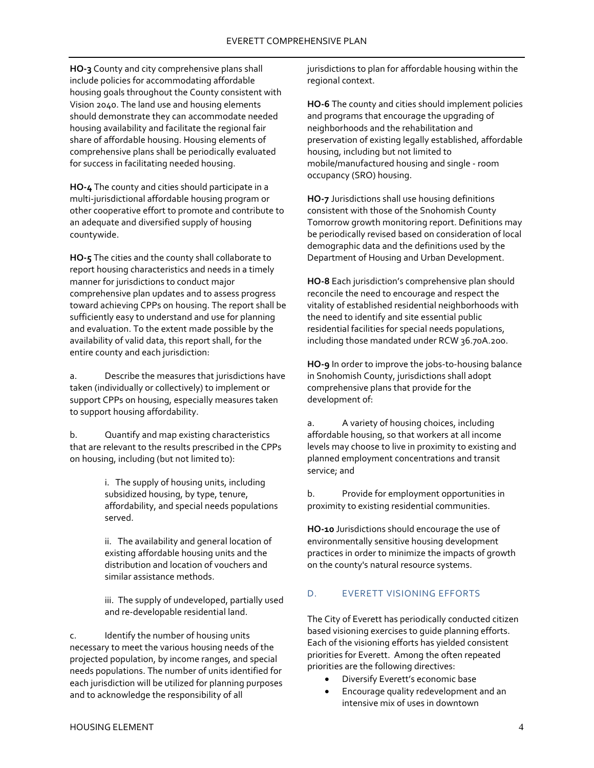**HO-3** County and city comprehensive plans shall include policies for accommodating affordable housing goals throughout the County consistent with Vision 2040. The land use and housing elements should demonstrate they can accommodate needed housing availability and facilitate the regional fair share of affordable housing. Housing elements of comprehensive plans shall be periodically evaluated for success in facilitating needed housing.

**HO-4** The county and cities should participate in a multi-jurisdictional affordable housing program or other cooperative effort to promote and contribute to an adequate and diversified supply of housing countywide.

**HO-5** The cities and the county shall collaborate to report housing characteristics and needs in a timely manner for jurisdictions to conduct major comprehensive plan updates and to assess progress toward achieving CPPs on housing. The report shall be sufficiently easy to understand and use for planning and evaluation. To the extent made possible by the availability of valid data, this report shall, for the entire county and each jurisdiction:

a. Describe the measures that jurisdictions have taken (individually or collectively) to implement or support CPPs on housing, especially measures taken to support housing affordability.

b. Quantify and map existing characteristics that are relevant to the results prescribed in the CPPs on housing, including (but not limited to):

> i. The supply of housing units, including subsidized housing, by type, tenure, affordability, and special needs populations served.

ii. The availability and general location of existing affordable housing units and the distribution and location of vouchers and similar assistance methods.

iii. The supply of undeveloped, partially used and re-developable residential land.

c. Identify the number of housing units necessary to meet the various housing needs of the projected population, by income ranges, and special needs populations. The number of units identified for each jurisdiction will be utilized for planning purposes and to acknowledge the responsibility of all

jurisdictions to plan for affordable housing within the regional context.

**HO-6** The county and cities should implement policies and programs that encourage the upgrading of neighborhoods and the rehabilitation and preservation of existing legally established, affordable housing, including but not limited to mobile/manufactured housing and single - room occupancy (SRO) housing.

**HO-7** Jurisdictions shall use housing definitions consistent with those of the Snohomish County Tomorrow growth monitoring report. Definitions may be periodically revised based on consideration of local demographic data and the definitions used by the Department of Housing and Urban Development.

**HO-8** Each jurisdiction's comprehensive plan should reconcile the need to encourage and respect the vitality of established residential neighborhoods with the need to identify and site essential public residential facilities for special needs populations, including those mandated under RCW 36.70A.200.

**HO-9** In order to improve the jobs-to-housing balance in Snohomish County, jurisdictions shall adopt comprehensive plans that provide for the development of:

a. A variety of housing choices, including affordable housing, so that workers at all income levels may choose to live in proximity to existing and planned employment concentrations and transit service; and

b. Provide for employment opportunities in proximity to existing residential communities.

**HO-10** Jurisdictions should encourage the use of environmentally sensitive housing development practices in order to minimize the impacts of growth on the county's natural resource systems.

### <span id="page-5-0"></span>D. EVERETT VISIONING EFFORTS

The City of Everett has periodically conducted citizen based visioning exercises to guide planning efforts. Each of the visioning efforts has yielded consistent priorities for Everett. Among the often repeated priorities are the following directives:

- Diversify Everett's economic base
- Encourage quality redevelopment and an intensive mix of uses in downtown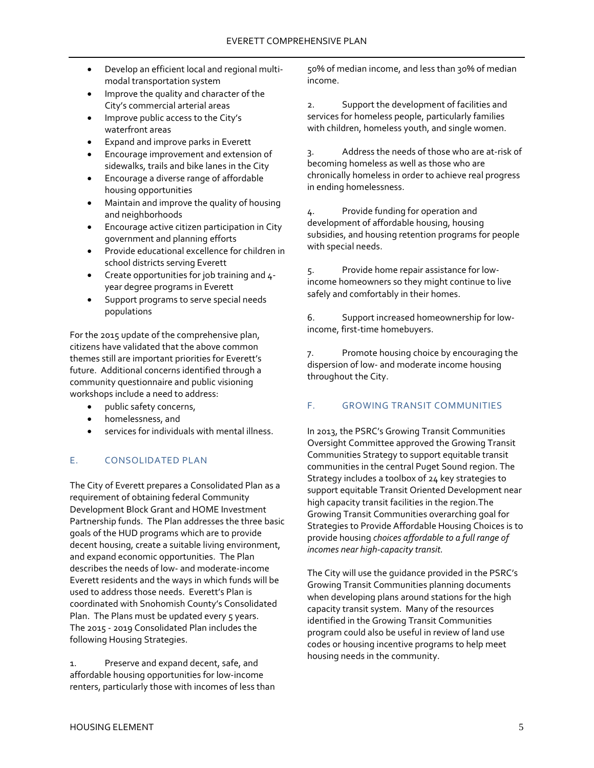- Develop an efficient local and regional multimodal transportation system
- Improve the quality and character of the City's commercial arterial areas
- Improve public access to the City's waterfront areas
- Expand and improve parks in Everett
- Encourage improvement and extension of sidewalks, trails and bike lanes in the City
- Encourage a diverse range of affordable housing opportunities
- Maintain and improve the quality of housing and neighborhoods
- Encourage active citizen participation in City government and planning efforts
- Provide educational excellence for children in school districts serving Everett
- Create opportunities for job training and 4 year degree programs in Everett
- Support programs to serve special needs populations

For the 2015 update of the comprehensive plan, citizens have validated that the above common themes still are important priorities for Everett's future. Additional concerns identified through a community questionnaire and public visioning workshops include a need to address:

- public safety concerns,
- homelessness, and
- services for individuals with mental illness.

## <span id="page-6-0"></span>E. CONSOLIDATED PLAN

The City of Everett prepares a Consolidated Plan as a requirement of obtaining federal Community Development Block Grant and HOME Investment Partnership funds. The Plan addresses the three basic goals of the HUD programs which are to provide decent housing, create a suitable living environment, and expand economic opportunities. The Plan describes the needs of low- and moderate-income Everett residents and the ways in which funds will be used to address those needs. Everett's Plan is coordinated with Snohomish County's Consolidated Plan. The Plans must be updated every 5 years. The 2015 - 2019 Consolidated Plan includes the following Housing Strategies.

1. Preserve and expand decent, safe, and affordable housing opportunities for low-income renters, particularly those with incomes of less than 50% of median income, and less than 30% of median income.

2. Support the development of facilities and services for homeless people, particularly families with children, homeless youth, and single women.

3. Address the needs of those who are at-risk of becoming homeless as well as those who are chronically homeless in order to achieve real progress in ending homelessness.

4. Provide funding for operation and development of affordable housing, housing subsidies, and housing retention programs for people with special needs.

5. Provide home repair assistance for lowincome homeowners so they might continue to live safely and comfortably in their homes.

6. Support increased homeownership for lowincome, first-time homebuyers.

7. Promote housing choice by encouraging the dispersion of low- and moderate income housing throughout the City.

## <span id="page-6-1"></span>F. GROWING TRANSIT COMMUNITIES

In 2013, the PSRC's Growing Transit Communities Oversight Committee approved the Growing Transit Communities Strategy to support equitable transit communities in the central Puget Sound region. The Strategy includes a toolbox of 24 key strategies to support equitable Transit Oriented Development near high capacity transit facilities in the region.The Growing Transit Communities overarching goal for Strategies to Provide Affordable Housing Choices is to provide housing *choices affordable to a full range of incomes near high-capacity transit.*

The City will use the guidance provided in the PSRC's Growing Transit Communities planning documents when developing plans around stations for the high capacity transit system. Many of the resources identified in the Growing Transit Communities program could also be useful in review of land use codes or housing incentive programs to help meet housing needs in the community.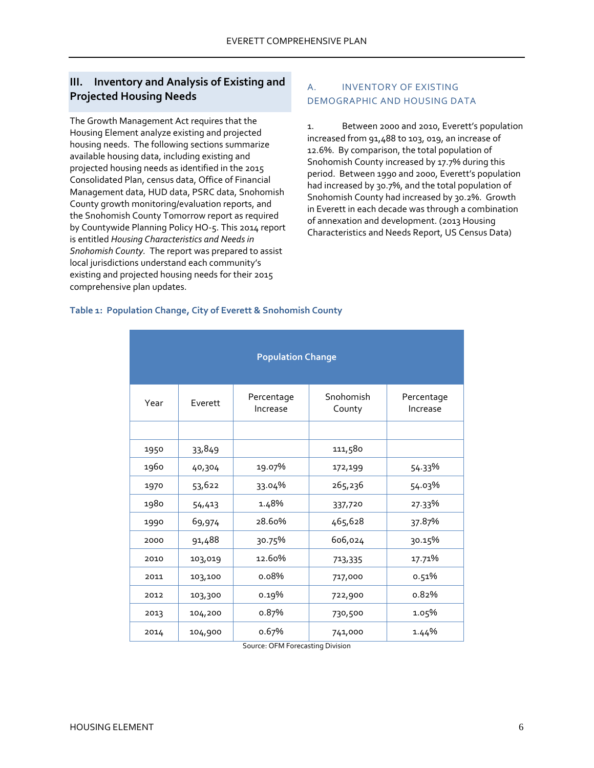# <span id="page-7-0"></span>**III. Inventory and Analysis of Existing and Projected Housing Needs**

The Growth Management Act requires that the Housing Element analyze existing and projected housing needs. The following sections summarize available housing data, including existing and projected housing needs as identified in the 2015 Consolidated Plan, census data, Office of Financial Management data, HUD data, PSRC data, Snohomish County growth monitoring/evaluation reports, and the Snohomish County Tomorrow report as required by Countywide Planning Policy HO-5. This 2014 report is entitled *Housing Characteristics and Needs in Snohomish County.* The report was prepared to assist local jurisdictions understand each community's existing and projected housing needs for their 2015 comprehensive plan updates.

# <span id="page-7-1"></span>A. INVENTORY OF EXISTING DEMOGRAPHIC AND HOUSING DATA

1. Between 2000 and 2010, Everett's population increased from 91,488 to 103, 019, an increase of 12.6%. By comparison, the total population of Snohomish County increased by 17.7% during this period. Between 1990 and 2000, Everett's population had increased by 30.7%, and the total population of Snohomish County had increased by 30.2%. Growth in Everett in each decade was through a combination of annexation and development. (2013 Housing Characteristics and Needs Report, US Census Data)

### <span id="page-7-2"></span>**Table 1: Population Change, City of Everett & Snohomish County**

| <b>Population Change</b> |         |                        |                     |                        |  |  |
|--------------------------|---------|------------------------|---------------------|------------------------|--|--|
| Year                     | Everett | Percentage<br>Increase | Snohomish<br>County | Percentage<br>Increase |  |  |
|                          |         |                        |                     |                        |  |  |
| 1950                     | 33,849  |                        | 111,580             |                        |  |  |
| 1960                     | 40,304  | 19.07%                 | 172,199             | 54.33%                 |  |  |
| 1970                     | 53,622  | 33.04%                 | 265,236             | 54.03%                 |  |  |
| 1980                     | 54,413  | 1.48%                  | 337,720             | 27.33%                 |  |  |
| 1990                     | 69,974  | 28.60%                 | 465,628             | 37.87%                 |  |  |
| 2000                     | 91,488  | 30.75%                 | 606,024             | 30.15%                 |  |  |
| 2010                     | 103,019 | 12.60%                 | 713,335             | 17.71%                 |  |  |
| 2011                     | 103,100 | 0.08%                  | 717,000             | 0.51%                  |  |  |
| 2012                     | 103,300 | 0.19%                  | 722,900             | 0.82%                  |  |  |
| 2013                     | 104,200 | 0.87%                  | 730,500             | 1.05%                  |  |  |
| 2014                     | 104,900 | o.67%<br>$\sim$        | 741,000<br>Dialata  | 1.44%                  |  |  |

Source: OFM Forecasting Division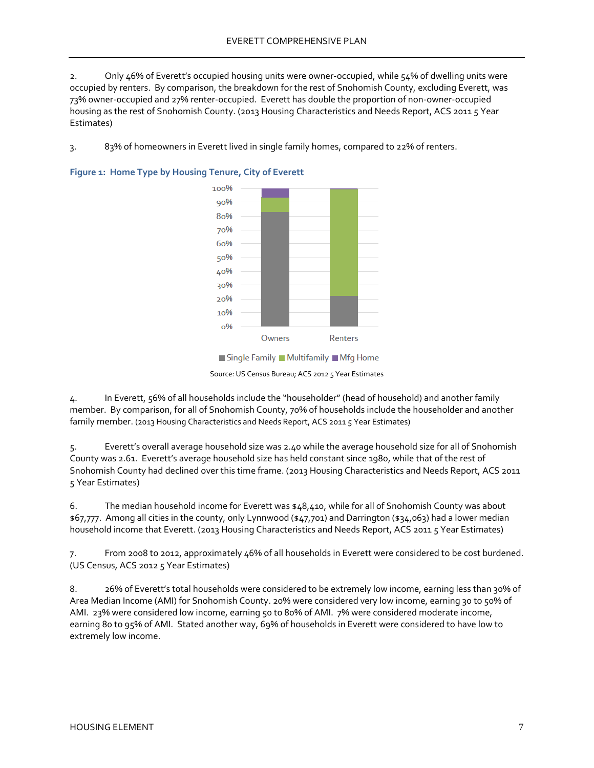2. Only 46% of Everett's occupied housing units were owner-occupied, while 54% of dwelling units were occupied by renters. By comparison, the breakdown for the rest of Snohomish County, excluding Everett, was 73% owner-occupied and 27% renter-occupied. Everett has double the proportion of non-owner-occupied housing as the rest of Snohomish County. (2013 Housing Characteristics and Needs Report, ACS 2011 5 Year Estimates)

3. 83% of homeowners in Everett lived in single family homes, compared to 22% of renters.



<span id="page-8-0"></span>

Single Family Multifamily Mfg Home

Source: US Census Bureau; ACS 2012 5 Year Estimates

4. In Everett, 56% of all households include the "householder" (head of household) and another family member. By comparison, for all of Snohomish County, 70% of households include the householder and another family member. (2013 Housing Characteristics and Needs Report, ACS 2011 5 Year Estimates)

Everett's overall average household size was 2.40 while the average household size for all of Snohomish County was 2.61. Everett's average household size has held constant since 1980, while that of the rest of Snohomish County had declined over this time frame. (2013 Housing Characteristics and Needs Report, ACS 2011 5 Year Estimates)

6. The median household income for Everett was \$48,410, while for all of Snohomish County was about \$67,777. Among all cities in the county, only Lynnwood (\$47,701) and Darrington (\$34,063) had a lower median household income that Everett. (2013 Housing Characteristics and Needs Report, ACS 2011 5 Year Estimates)

7. From 2008 to 2012, approximately 46% of all households in Everett were considered to be cost burdened. (US Census, ACS 2012 5 Year Estimates)

8. 26% of Everett's total households were considered to be extremely low income, earning less than 30% of Area Median Income (AMI) for Snohomish County. 20% were considered very low income, earning 30 to 50% of AMI. 23% were considered low income, earning 50 to 80% of AMI. 7% were considered moderate income, earning 80 to 95% of AMI. Stated another way, 69% of households in Everett were considered to have low to extremely low income.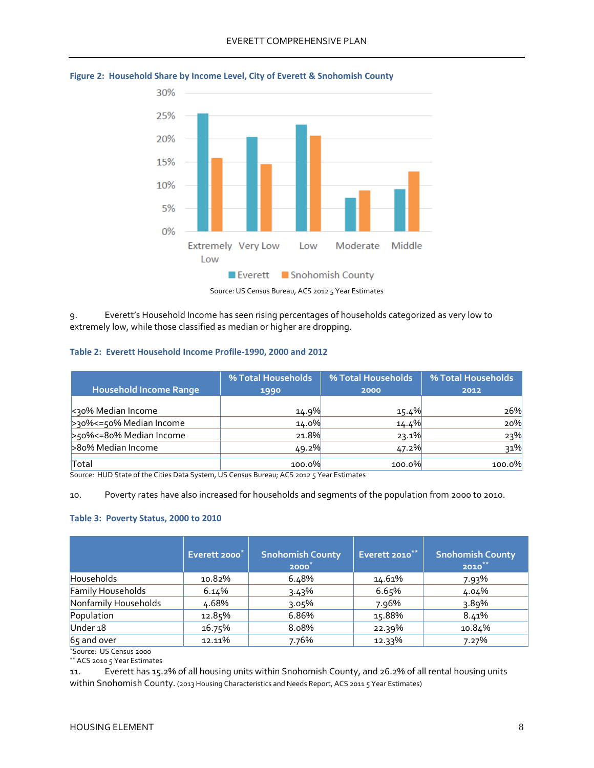

<span id="page-9-0"></span>**Figure 2: Household Share by Income Level, City of Everett & Snohomish County** 

Source: US Census Bureau, ACS 2012 5 Year Estimates

9. Everett's Household Income has seen rising percentages of households categorized as very low to extremely low, while those classified as median or higher are dropping.

### <span id="page-9-1"></span>**Table 2: Everett Household Income Profile-1990, 2000 and 2012**

|                           | % Total Households | % Total Households | % Total Households |
|---------------------------|--------------------|--------------------|--------------------|
| Household Income Range    | 1990               | 2000               | 2012               |
| <30% Median Income        | 14.9%              | 15.4%              | 26%                |
| >30%<=50% Median Income   | 14.0%              | 14.4%              | 20%                |
| >50% <= 80% Median Income | 21.8%              | 23.1%              | 23%                |
| >80% Median Income        | 49.2%              | 47.2%              | 31%                |
| Total                     | 100.0%             | 100.0%             | 100.0%             |

Source: HUD State of the Cities Data System, US Census Bureau; ACS 2012 5 Year Estimates

10. Poverty rates have also increased for households and segments of the population from 2000 to 2010.

#### <span id="page-9-2"></span>**Table 3: Poverty Status, 2000 to 2010**

|                         | Everett 2000 <sup>*</sup> | <b>Snohomish County</b><br>2000 | Everett 2010** | <b>Snohomish County</b><br>$2010***$ |
|-------------------------|---------------------------|---------------------------------|----------------|--------------------------------------|
| <b>Households</b>       | 10.82%                    | 6.48%                           | 14.61%         | 7.93%                                |
| Family Households       | 6.14%                     | 3.43%                           | 6.65%          | 4.04%                                |
| Nonfamily Households    | 4.68%                     | 3.05%                           | 7.96%          | 3.89%                                |
| Population              | 12.85%                    | 6.86%                           | 15.88%         | 8.41%                                |
| Under <sub>18</sub>     | 16.75%                    | 8.08%                           | 22.39%         | 10.84%                               |
| 65 and over             | 12.11%                    | 7.76%                           | 12.33%         | 7.27%                                |
| *Source: US Census 2000 |                           |                                 |                |                                      |

\*\* ACS 2010 5 Year Estimates

11. Everett has 15.2% of all housing units within Snohomish County, and 26.2% of all rental housing units within Snohomish County. (2013 Housing Characteristics and Needs Report, ACS 2011 5 Year Estimates)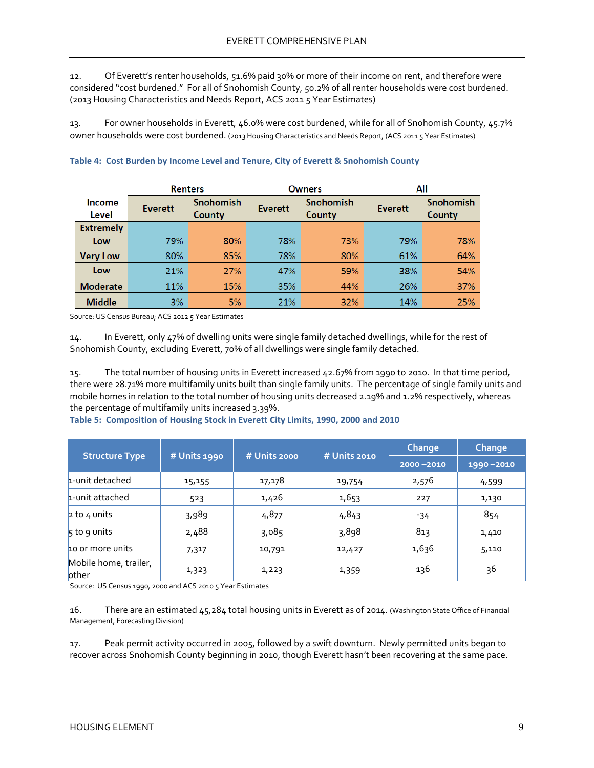12. Of Everett's renter households, 51.6% paid 30% or more of their income on rent, and therefore were considered "cost burdened." For all of Snohomish County, 50.2% of all renter households were cost burdened. (2013 Housing Characteristics and Needs Report, ACS 2011 5 Year Estimates)

13. For owner households in Everett, 46.0% were cost burdened, while for all of Snohomish County, 45.7% owner households were cost burdened. (2013 Housing Characteristics and Needs Report, (ACS 2011 5 Year Estimates)

| <b>Renters</b>   |                | <b>Owners</b>       |                | All                 |                |                     |
|------------------|----------------|---------------------|----------------|---------------------|----------------|---------------------|
| Income<br>Level  | <b>Everett</b> | Snohomish<br>County | <b>Everett</b> | Snohomish<br>County | <b>Everett</b> | Snohomish<br>County |
| <b>Extremely</b> |                |                     |                |                     |                |                     |
| Low              | 79%            | 80%                 | 78%            | 73%                 | 79%            | 78%                 |
| <b>Very Low</b>  | 80%            | 85%                 | 78%            | 80%                 | 61%            | 64%                 |
| Low              | 21%            | 27%                 | 47%            | 59%                 | 38%            | 54%                 |
| <b>Moderate</b>  | 11%            | 15%                 | 35%            | 44%                 | 26%            | 37%                 |
| <b>Middle</b>    | 3%             | 5%                  | 21%            | 32%                 | 14%            | 25%                 |

### <span id="page-10-0"></span>**Table 4: Cost Burden by Income Level and Tenure, City of Everett & Snohomish County**

Source: US Census Bureau; ACS 2012 5 Year Estimates

14. In Everett, only 47% of dwelling units were single family detached dwellings, while for the rest of Snohomish County, excluding Everett, 70% of all dwellings were single family detached.

15. The total number of housing units in Everett increased 42.67% from 1990 to 2010. In that time period, there were 28.71% more multifamily units built than single family units. The percentage of single family units and mobile homes in relation to the total number of housing units decreased 2.19% and 1.2% respectively, whereas the percentage of multifamily units increased 3.39%.

<span id="page-10-1"></span>

|  |  |  |  | Table 5: Composition of Housing Stock in Everett City Limits, 1990, 2000 and 2010 |
|--|--|--|--|-----------------------------------------------------------------------------------|
|--|--|--|--|-----------------------------------------------------------------------------------|

|                                |                                              |        |               | Change    | <b>Change</b> |
|--------------------------------|----------------------------------------------|--------|---------------|-----------|---------------|
| <b>Structure Type</b>          | # Units 2000<br># Units 2010<br># Units 1990 |        | $2000 - 2010$ | 1990-2010 |               |
| 1-unit detached                | 15,155                                       | 17,178 | 19,754        | 2,576     | 4,599         |
| 1-unit attached                | 523                                          | 1,426  | 1,653         | 227       | 1,130         |
| $2$ to 4 units                 | 3,989                                        | 4,877  | 4,843         | -34       | 854           |
| $\overline{5}$ to 9 units      | 2,488                                        | 3,085  | 3,898         | 813       | 1,410         |
| 10 or more units               | 7,317                                        | 10,791 | 12,427        | 1,636     | 5,110         |
| Mobile home, trailer,<br>other | 1,323                                        | 1,223  | 1,359         | 136       | 36            |

Source: US Census 1990, 2000 and ACS 2010 5 Year Estimates

16. There are an estimated 45,284 total housing units in Everett as of 2014. (Washington State Office of Financial Management, Forecasting Division)

17. Peak permit activity occurred in 2005, followed by a swift downturn. Newly permitted units began to recover across Snohomish County beginning in 2010, though Everett hasn't been recovering at the same pace.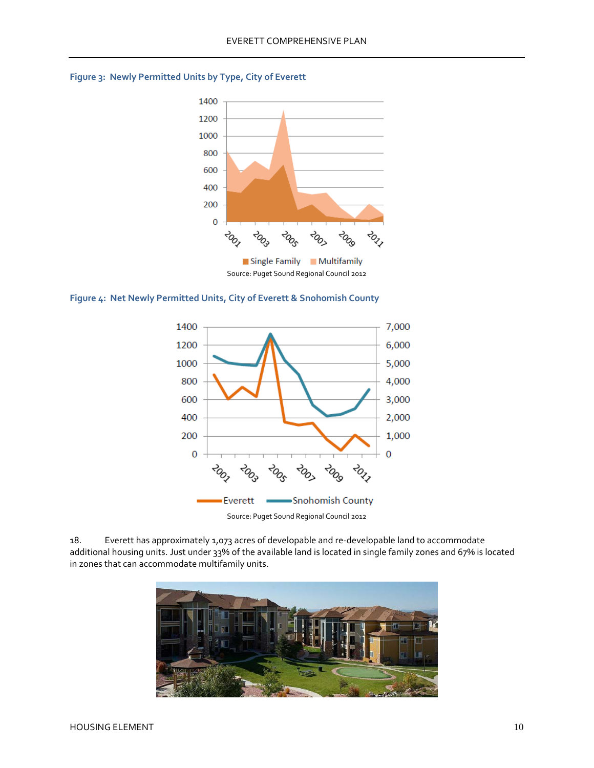

### <span id="page-11-0"></span>**Figure 3: Newly Permitted Units by Type, City of Everett**

<span id="page-11-1"></span>



18. Everett has approximately 1,073 acres of developable and re-developable land to accommodate additional housing units. Just under 33% of the available land is located in single family zones and 67% is located in zones that can accommodate multifamily units.

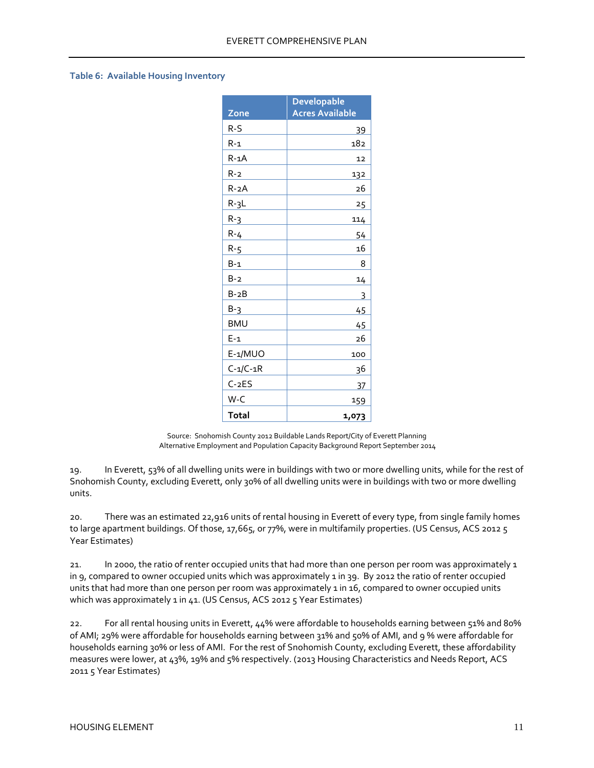#### <span id="page-12-0"></span>**Table 6: Available Housing Inventory**

|                | <b>Developable</b>     |
|----------------|------------------------|
| Zone           | <b>Acres Available</b> |
| R-S            | 39                     |
| $R-1$          | 182                    |
| $R - 1A$       | 12                     |
| $R-2$          | 132                    |
| $R - 2A$       | 26                     |
| $R - 3L$       | 25                     |
| $R-3$          | 114                    |
| $R - 4$        | 54                     |
| $R - 5$        | 16                     |
| B-1            | 8                      |
| $B-2$          | 14                     |
| $B-2B$         | 3                      |
| $B-3$          | 45                     |
| <b>BMU</b>     | 45                     |
| $E-1$          | 26                     |
| E-1/MUO        | 100                    |
| $C - 1/C - 1R$ | 36                     |
| $C-2ES$        | 37                     |
| W-C            | 159                    |
| Total          | 1,073                  |

Source: Snohomish County 2012 Buildable Lands Report/City of Everett Planning Alternative Employment and Population Capacity Background Report September 2014

19. In Everett, 53% of all dwelling units were in buildings with two or more dwelling units, while for the rest of Snohomish County, excluding Everett, only 30% of all dwelling units were in buildings with two or more dwelling units.

20. There was an estimated 22,916 units of rental housing in Everett of every type, from single family homes to large apartment buildings. Of those, 17,665, or 77%, were in multifamily properties. (US Census, ACS 2012 5 Year Estimates)

21. In 2000, the ratio of renter occupied units that had more than one person per room was approximately 1 in 9, compared to owner occupied units which was approximately 1 in 39. By 2012 the ratio of renter occupied units that had more than one person per room was approximately 1 in 16, compared to owner occupied units which was approximately 1 in 41. (US Census, ACS 2012 5 Year Estimates)

22. For all rental housing units in Everett, 44% were affordable to households earning between 51% and 80% of AMI; 29% were affordable for households earning between 31% and 50% of AMI, and 9 % were affordable for households earning 30% or less of AMI. For the rest of Snohomish County, excluding Everett, these affordability measures were lower, at 43%, 19% and 5% respectively. (2013 Housing Characteristics and Needs Report, ACS 2011 5 Year Estimates)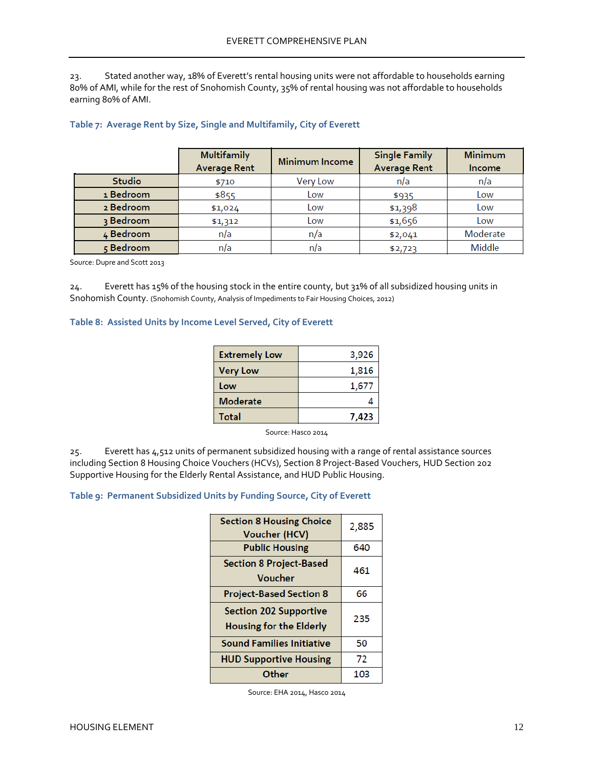23. Stated another way, 18% of Everett's rental housing units were not affordable to households earning 80% of AMI, while for the rest of Snohomish County, 35% of rental housing was not affordable to households earning 80% of AMI.

|               | <b>Multifamily</b><br><b>Average Rent</b> | <b>Minimum Income</b> | <b>Single Family</b><br><b>Average Rent</b> | Minimum<br><b>Income</b> |
|---------------|-------------------------------------------|-----------------------|---------------------------------------------|--------------------------|
| <b>Studio</b> | \$710                                     | Very Low              | n/a                                         | n/a                      |
| 1 Bedroom     | \$855                                     | Low                   | \$935                                       | Low                      |
| 2 Bedroom     | \$1,024                                   | Low                   | \$1,398                                     | Low                      |
| 3 Bedroom     | \$1,312                                   | Low                   | \$1,656                                     | Low                      |
| 4 Bedroom     | n/a                                       | n/a                   | \$2,041                                     | Moderate                 |
| 5 Bedroom     | n/a                                       | n/a                   | \$2,723                                     | Middle                   |

#### <span id="page-13-0"></span>**Table 7: Average Rent by Size, Single and Multifamily, City of Everett**

Source: Dupre and Scott 2013

24. Everett has 15% of the housing stock in the entire county, but 31% of all subsidized housing units in Snohomish County. (Snohomish County, Analysis of Impediments to Fair Housing Choices, 2012)

#### <span id="page-13-1"></span>**Table 8: Assisted Units by Income Level Served, City of Everett**

| <b>Extremely Low</b> | 3,926 |
|----------------------|-------|
| <b>Very Low</b>      | 1,816 |
| Low                  | 1,677 |
| <b>Moderate</b>      |       |
| <b>Total</b>         | 7.423 |

Source: Hasco 2014

25. Everett has 4,512 units of permanent subsidized housing with a range of rental assistance sources including Section 8 Housing Choice Vouchers (HCVs), Section 8 Project-Based Vouchers, HUD Section 202 Supportive Housing for the Elderly Rental Assistance, and HUD Public Housing.

#### <span id="page-13-2"></span>**Table 9: Permanent Subsidized Units by Funding Source, City of Everett**

| <b>Section 8 Housing Choice</b><br><b>Voucher (HCV)</b>         | 2,885 |
|-----------------------------------------------------------------|-------|
| <b>Public Housing</b>                                           | 640   |
| <b>Section 8 Project-Based</b><br>Voucher                       | 461   |
| <b>Project-Based Section 8</b>                                  | 66    |
| <b>Section 202 Supportive</b><br><b>Housing for the Elderly</b> | 235   |
| <b>Sound Families Initiative</b>                                | 50    |
| <b>HUD Supportive Housing</b>                                   | 72    |
| Other                                                           | 103   |

Source: EHA 2014, Hasco 2014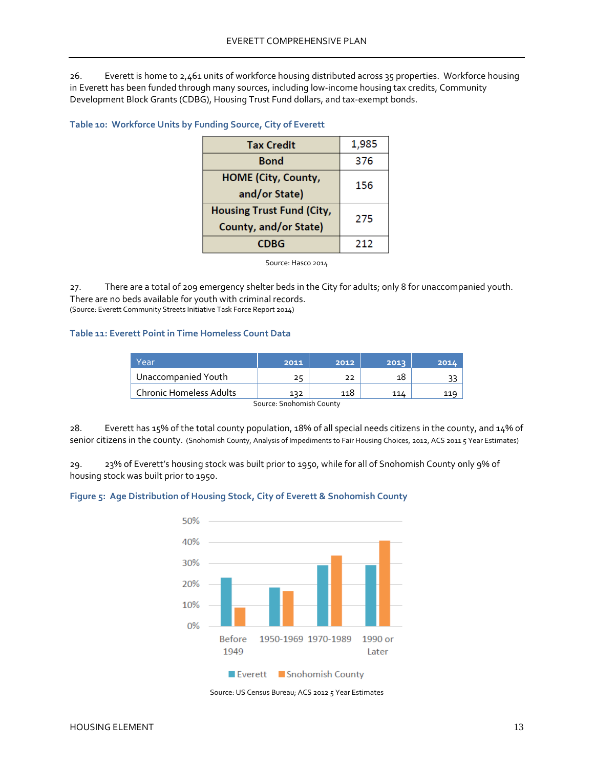26. Everett is home to 2,461 units of workforce housing distributed across 35 properties. Workforce housing in Everett has been funded through many sources, including low-income housing tax credits, Community Development Block Grants (CDBG), Housing Trust Fund dollars, and tax-exempt bonds.

#### <span id="page-14-0"></span>**Table 10: Workforce Units by Funding Source, City of Everett**

| <b>Tax Credit</b>                                         | 1,985 |
|-----------------------------------------------------------|-------|
| Bond                                                      | 376   |
| <b>HOME (City, County,</b><br>and/or State)               | 156   |
| <b>Housing Trust Fund (City,</b><br>County, and/or State) | 275   |
| CDBG                                                      | 212   |

Source: Hasco 2014

27. There are a total of 209 emergency shelter beds in the City for adults; only 8 for unaccompanied youth. There are no beds available for youth with criminal records. (Source: Everett Community Streets Initiative Task Force Report 2014)

### <span id="page-14-1"></span>**Table 11: Everett Point in Time Homeless Count Data**

| Year                           | 2011 | 2012 | 2013 | 2014 |
|--------------------------------|------|------|------|------|
| Unaccompanied Youth            |      |      | 18   |      |
| <b>Chronic Homeless Adults</b> | 132  | 118  | 114  |      |

Source: Snohomish County

28. Everett has 15% of the total county population, 18% of all special needs citizens in the county, and 14% of senior citizens in the county. (Snohomish County, Analysis of Impediments to Fair Housing Choices, 2012, ACS 2011 5 Year Estimates)

29. 23% of Everett's housing stock was built prior to 1950, while for all of Snohomish County only 9% of housing stock was built prior to 1950.

#### <span id="page-14-2"></span>**Figure 5: Age Distribution of Housing Stock, City of Everett & Snohomish County**



Source: US Census Bureau; ACS 2012 5 Year Estimates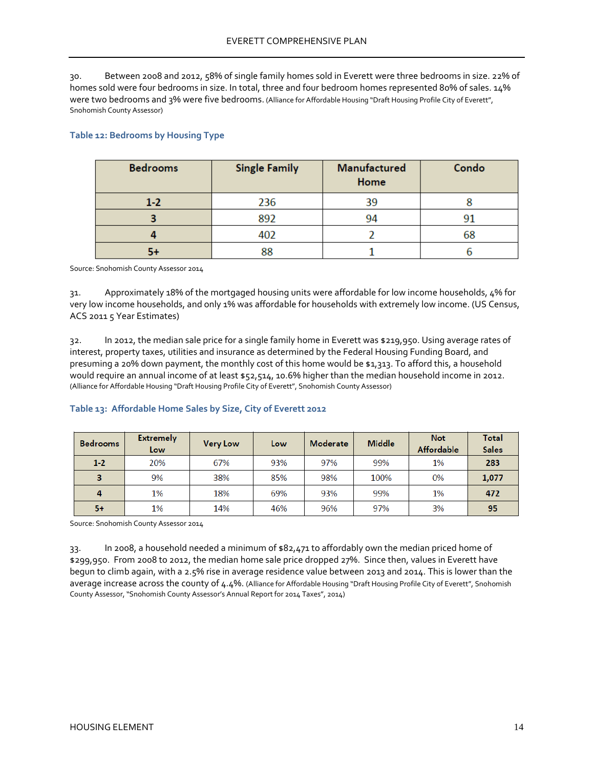30. Between 2008 and 2012, 58% of single family homes sold in Everett were three bedrooms in size. 22% of homes sold were four bedrooms in size. In total, three and four bedroom homes represented 80% of sales. 14% were two bedrooms and 3% were five bedrooms. (Alliance for Affordable Housing "Draft Housing Profile City of Everett", Snohomish County Assessor)

| <b>Bedrooms</b> | <b>Single Family</b> | Manufactured<br>Home | Condo |
|-----------------|----------------------|----------------------|-------|
| $1 - 2$         | 236                  | 39                   |       |
|                 | 892                  | 94                   | 91    |
|                 | 402                  |                      | 68    |
|                 | 88                   |                      |       |

### <span id="page-15-0"></span>**Table 12: Bedrooms by Housing Type**

Source: Snohomish County Assessor 2014

31. Approximately 18% of the mortgaged housing units were affordable for low income households, 4% for very low income households, and only 1% was affordable for households with extremely low income. (US Census, ACS 2011 5 Year Estimates)

32. In 2012, the median sale price for a single family home in Everett was \$219,950. Using average rates of interest, property taxes, utilities and insurance as determined by the Federal Housing Funding Board, and presuming a 20% down payment, the monthly cost of this home would be \$1,313. To afford this, a household would require an annual income of at least \$52,514, 10.6% higher than the median household income in 2012. (Alliance for Affordable Housing "Draft Housing Profile City of Everett", Snohomish County Assessor)

#### <span id="page-15-1"></span>**Table 13: Affordable Home Sales by Size, City of Everett 2012**

| <b>Bedrooms</b> | <b>Extremely</b><br>Low | <b>Very Low</b> | Low | <b>Moderate</b> | <b>Middle</b> | <b>Not</b><br><b>Affordable</b> | Total<br><b>Sales</b> |
|-----------------|-------------------------|-----------------|-----|-----------------|---------------|---------------------------------|-----------------------|
| $1-2$           | 20%                     | 67%             | 93% | 97%             | 99%           | 1%                              | 283                   |
| 3               | 9%                      | 38%             | 85% | 98%             | 100%          | 0%                              | 1,077                 |
| $\overline{4}$  | 1%                      | 18%             | 69% | 93%             | 99%           | 1%                              | 472                   |
| 5+              | 1%                      | 14%             | 46% | 96%             | 97%           | 3%                              | 95                    |

Source: Snohomish County Assessor 2014

33. In 2008, a household needed a minimum of \$82,471 to affordably own the median priced home of \$299,950. From 2008 to 2012, the median home sale price dropped 27%. Since then, values in Everett have begun to climb again, with a 2.5% rise in average residence value between 2013 and 2014. This is lower than the average increase across the county of 4.4%. (Alliance for Affordable Housing "Draft Housing Profile City of Everett", Snohomish County Assessor, "Snohomish County Assessor's Annual Report for 2014 Taxes", 2014)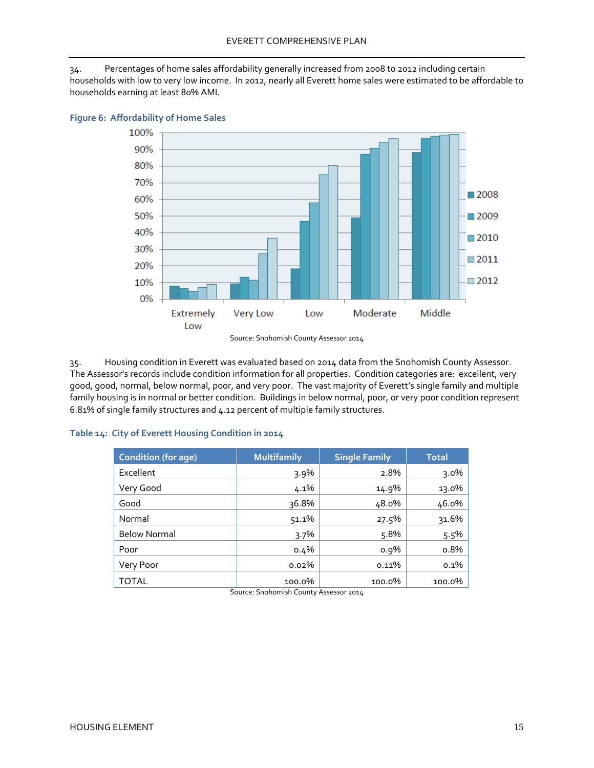34. Percentages of home sales affordability generally increased from 2008 to 2012 including certain households with low to very low income. In 2012, nearly all Everett home sales were estimated to be affordable to households earning at least 80% AMI.



#### <span id="page-16-0"></span>**Figure 6: Affordability of Home Sales**

Source: Snohomish County Assessor 2014

35. Housing condition in Everett was evaluated based on 2014 data from the Snohomish County Assessor. The Assessor's records include condition information for all properties. Condition categories are: excellent, very good, good, normal, below normal, poor, and very poor. The vast majority of Everett's single family and multiple family housing is in normal or better condition. Buildings in below normal, poor, or very poor condition represent 6.81% of single family structures and 4.12 percent of multiple family structures.

#### <span id="page-16-1"></span>**Table 14: City of Everett Housing Condition in 2014**

<span id="page-16-2"></span>

| <b>Condition (for age)</b> | <b>Multifamily</b> | <b>Single Family</b> | <b>Total</b> |
|----------------------------|--------------------|----------------------|--------------|
| Excellent                  | 3.9%               | 2.8%                 | $3.0\%$      |
| Very Good                  | 4.1%               | 14.9%                | 13.0%        |
| Good                       | 36.8%              | 48.0%                | 46.0%        |
| Normal                     | 51.1%              | 27.5%                | 31.6%        |
| <b>Below Normal</b>        | 3.7%               | 5.8%                 | 5.5%         |
| Poor                       | $0.4\%$            | $0.9\%$              | o.8%         |
| Very Poor                  | 0.02%              | 0.11%                | $0.1\%$      |
| <b>TOTAL</b>               | 100.0%             | 100.0%               | 100.0%       |

Source: Snohomish County Assessor 2014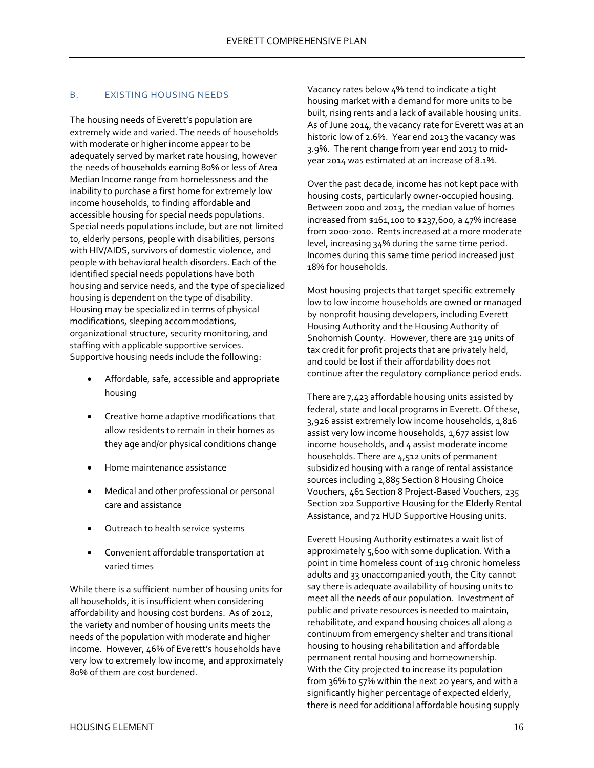### B. EXISTING HOUSING NEEDS

The housing needs of Everett's population are extremely wide and varied. The needs of households with moderate or higher income appear to be adequately served by market rate housing, however the needs of households earning 80% or less of Area Median Income range from homelessness and the inability to purchase a first home for extremely low income households, to finding affordable and accessible housing for special needs populations. Special needs populations include, but are not limited to, elderly persons, people with disabilities, persons with HIV/AIDS, survivors of domestic violence, and people with behavioral health disorders. Each of the identified special needs populations have both housing and service needs, and the type of specialized housing is dependent on the type of disability. Housing may be specialized in terms of physical modifications, sleeping accommodations, organizational structure, security monitoring, and staffing with applicable supportive services. Supportive housing needs include the following:

- Affordable, safe, accessible and appropriate housing
- Creative home adaptive modifications that allow residents to remain in their homes as they age and/or physical conditions change
- Home maintenance assistance
- Medical and other professional or personal care and assistance
- Outreach to health service systems
- Convenient affordable transportation at varied times

While there is a sufficient number of housing units for all households, it is insufficient when considering affordability and housing cost burdens. As of 2012, the variety and number of housing units meets the needs of the population with moderate and higher income. However, 46% of Everett's households have very low to extremely low income, and approximately 80% of them are cost burdened.

Vacancy rates below 4% tend to indicate a tight housing market with a demand for more units to be built, rising rents and a lack of available housing units. As of June 2014, the vacancy rate for Everett was at an historic low of 2.6%. Year end 2013 the vacancy was 3.9%. The rent change from year end 2013 to midyear 2014 was estimated at an increase of 8.1%.

Over the past decade, income has not kept pace with housing costs, particularly owner-occupied housing. Between 2000 and 2013, the median value of homes increased from \$161,100 to \$237,600, a 47% increase from 2000-2010. Rents increased at a more moderate level, increasing 34% during the same time period. Incomes during this same time period increased just 18% for households.

Most housing projects that target specific extremely low to low income households are owned or managed by nonprofit housing developers, including Everett Housing Authority and the Housing Authority of Snohomish County. However, there are 319 units of tax credit for profit projects that are privately held, and could be lost if their affordability does not continue after the regulatory compliance period ends.

There are 7,423 affordable housing units assisted by federal, state and local programs in Everett. Of these, 3,926 assist extremely low income households, 1,816 assist very low income households, 1,677 assist low income households, and 4 assist moderate income households. There are 4,512 units of permanent subsidized housing with a range of rental assistance sources including 2,885 Section 8 Housing Choice Vouchers, 461 Section 8 Project-Based Vouchers, 235 Section 202 Supportive Housing for the Elderly Rental Assistance, and 72 HUD Supportive Housing units.

Everett Housing Authority estimates a wait list of approximately 5,600 with some duplication. With a point in time homeless count of 119 chronic homeless adults and 33 unaccompanied youth, the City cannot say there is adequate availability of housing units to meet all the needs of our population. Investment of public and private resources is needed to maintain, rehabilitate, and expand housing choices all along a continuum from emergency shelter and transitional housing to housing rehabilitation and affordable permanent rental housing and homeownership. With the City projected to increase its population from 36% to 57% within the next 20 years, and with a significantly higher percentage of expected elderly, there is need for additional affordable housing supply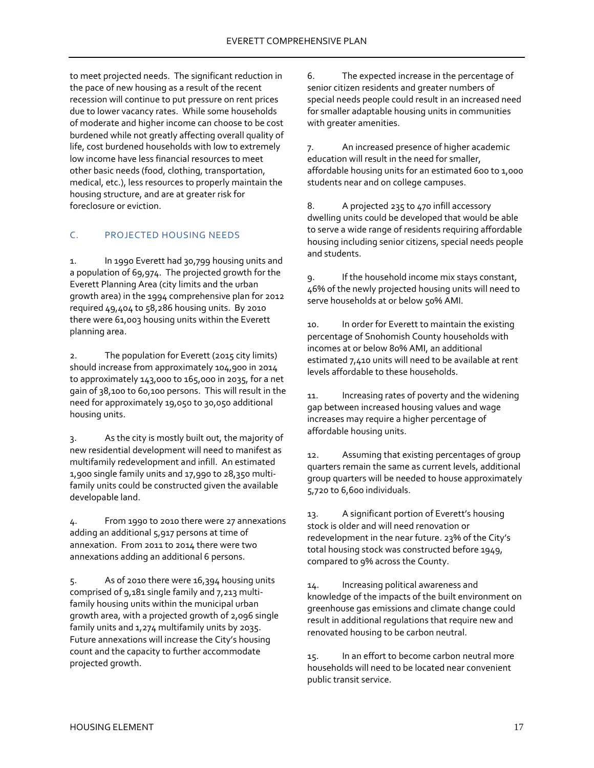to meet projected needs. The significant reduction in the pace of new housing as a result of the recent recession will continue to put pressure on rent prices due to lower vacancy rates. While some households of moderate and higher income can choose to be cost burdened while not greatly affecting overall quality of life, cost burdened households with low to extremely low income have less financial resources to meet other basic needs (food, clothing, transportation, medical, etc.), less resources to properly maintain the housing structure, and are at greater risk for foreclosure or eviction.

# <span id="page-18-0"></span>C. PROJECTED HOUSING NEEDS

1. In 1990 Everett had 30,799 housing units and a population of 69,974. The projected growth for the Everett Planning Area (city limits and the urban growth area) in the 1994 comprehensive plan for 2012 required 49,404 to 58,286 housing units. By 2010 there were 61,003 housing units within the Everett planning area.

2. The population for Everett (2015 city limits) should increase from approximately 104,900 in 2014 to approximately 143,000 to 165,000 in 2035, for a net gain of 38,100 to 60,100 persons. This will result in the need for approximately 19,050 to 30,050 additional housing units.

3. As the city is mostly built out, the majority of new residential development will need to manifest as multifamily redevelopment and infill. An estimated 1,900 single family units and 17,990 to 28,350 multifamily units could be constructed given the available developable land.

4. From 1990 to 2010 there were 27 annexations adding an additional 5,917 persons at time of annexation. From 2011 to 2014 there were two annexations adding an additional 6 persons.

5. As of 2010 there were 16,394 housing units comprised of 9,181 single family and 7,213 multifamily housing units within the municipal urban growth area, with a projected growth of 2,096 single family units and 1,274 multifamily units by 2035. Future annexations will increase the City's housing count and the capacity to further accommodate projected growth.

6. The expected increase in the percentage of senior citizen residents and greater numbers of special needs people could result in an increased need for smaller adaptable housing units in communities with greater amenities.

7. An increased presence of higher academic education will result in the need for smaller, affordable housing units for an estimated 600 to 1,000 students near and on college campuses.

8. A projected 235 to 470 infill accessory dwelling units could be developed that would be able to serve a wide range of residents requiring affordable housing including senior citizens, special needs people and students.

9. If the household income mix stays constant, 46% of the newly projected housing units will need to serve households at or below 50% AMI.

10. In order for Everett to maintain the existing percentage of Snohomish County households with incomes at or below 80% AMI, an additional estimated 7,410 units will need to be available at rent levels affordable to these households.

11. Increasing rates of poverty and the widening gap between increased housing values and wage increases may require a higher percentage of affordable housing units.

12. Assuming that existing percentages of group quarters remain the same as current levels, additional group quarters will be needed to house approximately 5,720 to 6,600 individuals.

13. A significant portion of Everett's housing stock is older and will need renovation or redevelopment in the near future. 23% of the City's total housing stock was constructed before 1949, compared to 9% across the County.

14. Increasing political awareness and knowledge of the impacts of the built environment on greenhouse gas emissions and climate change could result in additional regulations that require new and renovated housing to be carbon neutral.

15. In an effort to become carbon neutral more households will need to be located near convenient public transit service.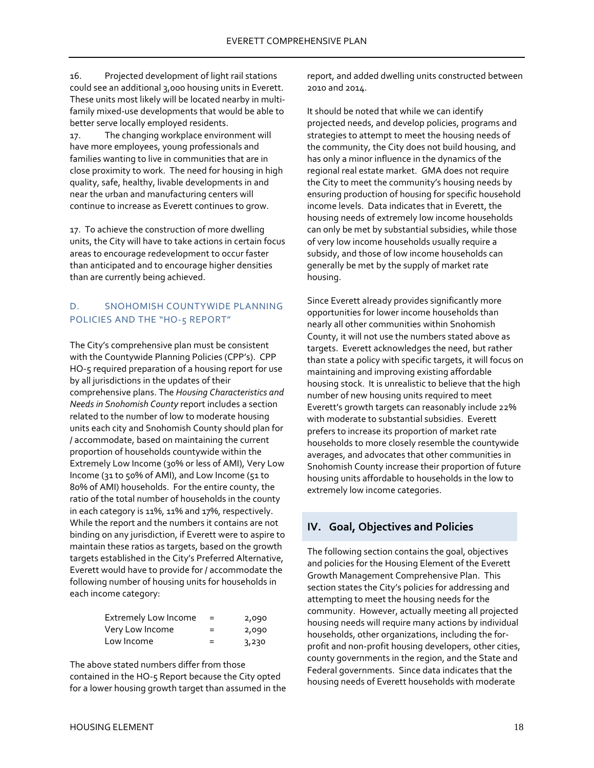16. Projected development of light rail stations could see an additional 3,000 housing units in Everett. These units most likely will be located nearby in multifamily mixed-use developments that would be able to better serve locally employed residents.

17. The changing workplace environment will have more employees, young professionals and families wanting to live in communities that are in close proximity to work. The need for housing in high quality, safe, healthy, livable developments in and near the urban and manufacturing centers will continue to increase as Everett continues to grow.

17. To achieve the construction of more dwelling units, the City will have to take actions in certain focus areas to encourage redevelopment to occur faster than anticipated and to encourage higher densities than are currently being achieved.

# <span id="page-19-0"></span>D. SNOHOMISH COUNTYWIDE PLANNING POLICIES AND THE "HO-5 REPORT"

The City's comprehensive plan must be consistent with the Countywide Planning Policies (CPP's). CPP HO-5 required preparation of a housing report for use by all jurisdictions in the updates of their comprehensive plans. The *Housing Characteristics and Needs in Snohomish County* report includes a section related to the number of low to moderate housing units each city and Snohomish County should plan for / accommodate, based on maintaining the current proportion of households countywide within the Extremely Low Income (30% or less of AMI), Very Low Income (31 to 50% of AMI), and Low Income (51 to 80% of AMI) households. For the entire county, the ratio of the total number of households in the county in each category is 11%, 11% and 17%, respectively. While the report and the numbers it contains are not binding on any jurisdiction, if Everett were to aspire to maintain these ratios as targets, based on the growth targets established in the City's Preferred Alternative, Everett would have to provide for / accommodate the following number of housing units for households in each income category:

| <b>Extremely Low Income</b> | $=$ | 2,090 |
|-----------------------------|-----|-------|
| Very Low Income             | $=$ | 2,090 |
| Low Income                  | =   | 3,230 |

The above stated numbers differ from those contained in the HO-5 Report because the City opted for a lower housing growth target than assumed in the report, and added dwelling units constructed between 2010 and 2014.

It should be noted that while we can identify projected needs, and develop policies, programs and strategies to attempt to meet the housing needs of the community, the City does not build housing, and has only a minor influence in the dynamics of the regional real estate market. GMA does not require the City to meet the community's housing needs by ensuring production of housing for specific household income levels. Data indicates that in Everett, the housing needs of extremely low income households can only be met by substantial subsidies, while those of very low income households usually require a subsidy, and those of low income households can generally be met by the supply of market rate housing.

Since Everett already provides significantly more opportunities for lower income households than nearly all other communities within Snohomish County, it will not use the numbers stated above as targets. Everett acknowledges the need, but rather than state a policy with specific targets, it will focus on maintaining and improving existing affordable housing stock. It is unrealistic to believe that the high number of new housing units required to meet Everett's growth targets can reasonably include 22% with moderate to substantial subsidies. Everett prefers to increase its proportion of market rate households to more closely resemble the countywide averages, and advocates that other communities in Snohomish County increase their proportion of future housing units affordable to households in the low to extremely low income categories.

# <span id="page-19-1"></span>**IV. Goal, Objectives and Policies**

The following section contains the goal, objectives and policies for the Housing Element of the Everett Growth Management Comprehensive Plan. This section states the City's policies for addressing and attempting to meet the housing needs for the community. However, actually meeting all projected housing needs will require many actions by individual households, other organizations, including the forprofit and non-profit housing developers, other cities, county governments in the region, and the State and Federal governments. Since data indicates that the housing needs of Everett households with moderate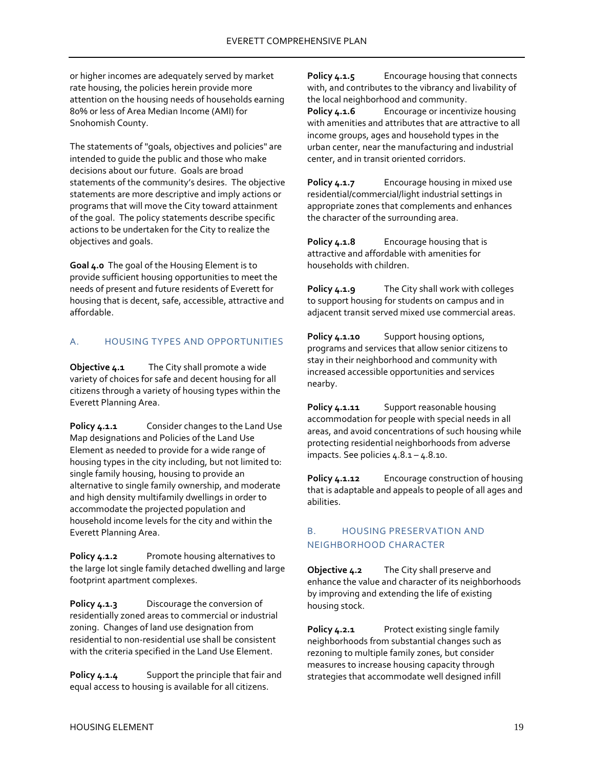or higher incomes are adequately served by market rate housing, the policies herein provide more attention on the housing needs of households earning 80% or less of Area Median Income (AMI) for Snohomish County.

The statements of "goals, objectives and policies" are intended to guide the public and those who make decisions about our future. Goals are broad statements of the community's desires. The objective statements are more descriptive and imply actions or programs that will move the City toward attainment of the goal. The policy statements describe specific actions to be undertaken for the City to realize the objectives and goals.

**Goal 4.0** The goal of the Housing Element is to provide sufficient housing opportunities to meet the needs of present and future residents of Everett for housing that is decent, safe, accessible, attractive and affordable.

## <span id="page-20-0"></span>A. HOUSING TYPES AND OPPORTUNITIES

**Objective 4.1** The City shall promote a wide variety of choices for safe and decent housing for all citizens through a variety of housing types within the Everett Planning Area.

Policy 4.1.1 Consider changes to the Land Use Map designations and Policies of the Land Use Element as needed to provide for a wide range of housing types in the city including, but not limited to: single family housing, housing to provide an alternative to single family ownership, and moderate and high density multifamily dwellings in order to accommodate the projected population and household income levels for the city and within the Everett Planning Area.

Policy 4.1.2 Promote housing alternatives to the large lot single family detached dwelling and large footprint apartment complexes.

**Policy 4.1.3** Discourage the conversion of residentially zoned areas to commercial or industrial zoning. Changes of land use designation from residential to non-residential use shall be consistent with the criteria specified in the Land Use Element.

**Policy 4.1.4** Support the principle that fair and equal access to housing is available for all citizens.

**Policy 4.1.5** Encourage housing that connects with, and contributes to the vibrancy and livability of the local neighborhood and community.

**Policy 4.1.6** Encourage or incentivize housing with amenities and attributes that are attractive to all income groups, ages and household types in the urban center, near the manufacturing and industrial center, and in transit oriented corridors.

**Policy 4.1.7** Encourage housing in mixed use residential/commercial/light industrial settings in appropriate zones that complements and enhances the character of the surrounding area.

**Policy 4.1.8** Encourage housing that is attractive and affordable with amenities for households with children.

**Policy 4.1.9** The City shall work with colleges to support housing for students on campus and in adjacent transit served mixed use commercial areas.

**Policy 4.1.10** Support housing options, programs and services that allow senior citizens to stay in their neighborhood and community with increased accessible opportunities and services nearby.

**Policy 4.1.11** Support reasonable housing accommodation for people with special needs in all areas, and avoid concentrations of such housing while protecting residential neighborhoods from adverse impacts. See policies 4.8.1 – 4.8.10.

**Policy 4.1.12** Encourage construction of housing that is adaptable and appeals to people of all ages and abilities.

## <span id="page-20-1"></span>B. HOUSING PRESERVATION AND NEIGHBORHOOD CHARACTER

**Objective 4.2** The City shall preserve and enhance the value and character of its neighborhoods by improving and extending the life of existing housing stock.

Policy 4.2.1 Protect existing single family neighborhoods from substantial changes such as rezoning to multiple family zones, but consider measures to increase housing capacity through strategies that accommodate well designed infill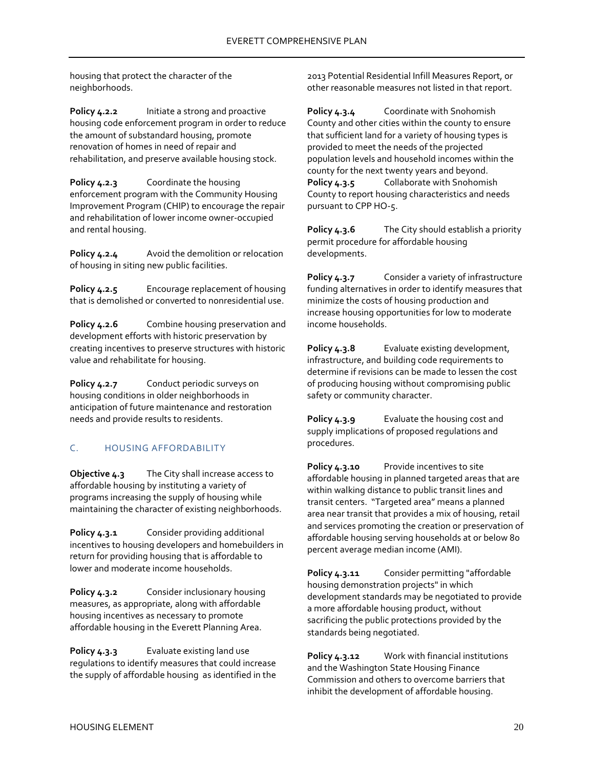housing that protect the character of the neighborhoods.

**Policy 4.2.2** Initiate a strong and proactive housing code enforcement program in order to reduce the amount of substandard housing, promote renovation of homes in need of repair and rehabilitation, and preserve available housing stock.

Policy 4.2.3 Coordinate the housing enforcement program with the Community Housing Improvement Program (CHIP) to encourage the repair and rehabilitation of lower income owner-occupied and rental housing.

**Policy 4.2.4** Avoid the demolition or relocation of housing in siting new public facilities.

**Policy 4.2.5** Encourage replacement of housing that is demolished or converted to nonresidential use.

**Policy 4.2.6** Combine housing preservation and development efforts with historic preservation by creating incentives to preserve structures with historic value and rehabilitate for housing.

**Policy 4.2.7** Conduct periodic surveys on housing conditions in older neighborhoods in anticipation of future maintenance and restoration needs and provide results to residents.

# <span id="page-21-0"></span>C. HOUSING AFFORDABILITY

**Objective 4.3** The City shall increase access to affordable housing by instituting a variety of programs increasing the supply of housing while maintaining the character of existing neighborhoods.

Policy 4.3.1 Consider providing additional incentives to housing developers and homebuilders in return for providing housing that is affordable to lower and moderate income households.

**Policy 4.3.2** Consider inclusionary housing measures, as appropriate, along with affordable housing incentives as necessary to promote affordable housing in the Everett Planning Area.

**Policy 4.3.3** Evaluate existing land use regulations to identify measures that could increase the supply of affordable housing as identified in the 2013 Potential Residential Infill Measures Report, or other reasonable measures not listed in that report.

**Policy 4.3.4** Coordinate with Snohomish County and other cities within the county to ensure that sufficient land for a variety of housing types is provided to meet the needs of the projected population levels and household incomes within the county for the next twenty years and beyond. Policy 4.3.5 Collaborate with Snohomish County to report housing characteristics and needs pursuant to CPP HO-5.

**Policy 4.3.6** The City should establish a priority permit procedure for affordable housing developments.

**Policy 4.3.7** Consider a variety of infrastructure funding alternatives in order to identify measures that minimize the costs of housing production and increase housing opportunities for low to moderate income households.

**Policy 4.3.8** Evaluate existing development, infrastructure, and building code requirements to determine if revisions can be made to lessen the cost of producing housing without compromising public safety or community character.

**Policy 4.3.9** Evaluate the housing cost and supply implications of proposed regulations and procedures.

**Policy 4.3.10** Provide incentives to site affordable housing in planned targeted areas that are within walking distance to public transit lines and transit centers. "Targeted area" means a planned area near transit that provides a mix of housing, retail and services promoting the creation or preservation of affordable housing serving households at or below 80 percent average median income (AMI).

**Policy 4.3.11** Consider permitting "affordable housing demonstration projects" in which development standards may be negotiated to provide a more affordable housing product, without sacrificing the public protections provided by the standards being negotiated.

**Policy 4.3.12** Work with financial institutions and the Washington State Housing Finance Commission and others to overcome barriers that inhibit the development of affordable housing.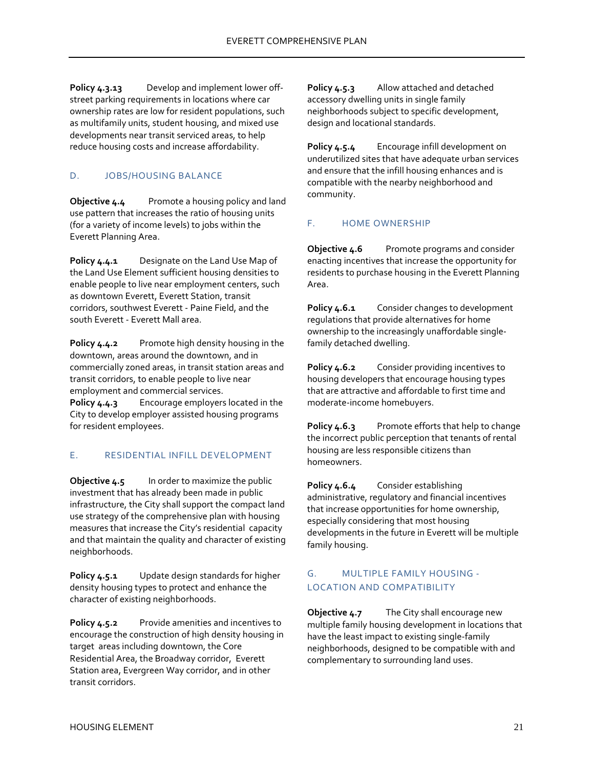**Policy 4.3.13** Develop and implement lower offstreet parking requirements in locations where car ownership rates are low for resident populations, such as multifamily units, student housing, and mixed use developments near transit serviced areas, to help reduce housing costs and increase affordability.

# <span id="page-22-0"></span>D. JOBS/HOUSING BALANCE

**Objective 4.4** Promote a housing policy and land use pattern that increases the ratio of housing units (for a variety of income levels) to jobs within the Everett Planning Area.

**Policy 4.4.1** Designate on the Land Use Map of the Land Use Element sufficient housing densities to enable people to live near employment centers, such as downtown Everett, Everett Station, transit corridors, southwest Everett - Paine Field, and the south Everett - Everett Mall area.

**Policy 4.4.2** Promote high density housing in the downtown, areas around the downtown, and in commercially zoned areas, in transit station areas and transit corridors, to enable people to live near employment and commercial services.

**Policy 4.4.3** Encourage employers located in the City to develop employer assisted housing programs for resident employees.

## <span id="page-22-1"></span>E. RESIDENTIAL INFILL DEVELOPMENT

**Objective 4.5** In order to maximize the public investment that has already been made in public infrastructure, the City shall support the compact land use strategy of the comprehensive plan with housing measures that increase the City's residential capacity and that maintain the quality and character of existing neighborhoods.

**Policy 4.5.1** Update design standards for higher density housing types to protect and enhance the character of existing neighborhoods.

**Policy 4.5.2** Provide amenities and incentives to encourage the construction of high density housing in target areas including downtown, the Core Residential Area, the Broadway corridor, Everett Station area, Evergreen Way corridor, and in other transit corridors.

**Policy 4.5.3** Allow attached and detached accessory dwelling units in single family neighborhoods subject to specific development, design and locational standards.

**Policy 4.5.4** Encourage infill development on underutilized sites that have adequate urban services and ensure that the infill housing enhances and is compatible with the nearby neighborhood and community.

# <span id="page-22-2"></span>F. HOME OWNERSHIP

**Objective 4.6** Promote programs and consider enacting incentives that increase the opportunity for residents to purchase housing in the Everett Planning Area.

**Policy 4.6.1** Consider changes to development regulations that provide alternatives for home ownership to the increasingly unaffordable singlefamily detached dwelling.

**Policy 4.6.2** Consider providing incentives to housing developers that encourage housing types that are attractive and affordable to first time and moderate-income homebuyers.

Policy 4.6.3 Promote efforts that help to change the incorrect public perception that tenants of rental housing are less responsible citizens than homeowners.

**Policy 4.6.4** Consider establishing administrative, regulatory and financial incentives that increase opportunities for home ownership, especially considering that most housing developments in the future in Everett will be multiple family housing.

# <span id="page-22-3"></span>G. MULTIPLE FAMILY HOUSING - LOCATION AND COMPATIBILITY

**Objective 4.7** The City shall encourage new multiple family housing development in locations that have the least impact to existing single-family neighborhoods, designed to be compatible with and complementary to surrounding land uses.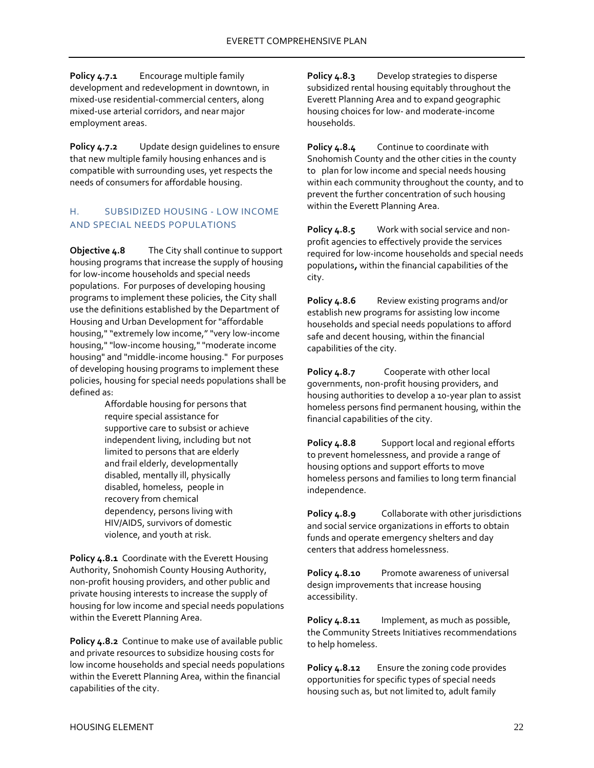**Policy 4.7.1** Encourage multiple family development and redevelopment in downtown, in mixed-use residential-commercial centers, along mixed-use arterial corridors, and near major employment areas.

**Policy 4.7.2** Update design guidelines to ensure that new multiple family housing enhances and is compatible with surrounding uses, yet respects the needs of consumers for affordable housing.

## <span id="page-23-0"></span>H. SUBSIDIZED HOUSING - LOW INCOME AND SPECIAL NEEDS POPULATIONS

**Objective 4.8** The City shall continue to support housing programs that increase the supply of housing for low-income households and special needs populations. For purposes of developing housing programs to implement these policies, the City shall use the definitions established by the Department of Housing and Urban Development for "affordable housing," "extremely low income," "very low-income housing," "low-income housing," "moderate income housing" and "middle-income housing." For purposes of developing housing programs to implement these policies, housing for special needs populations shall be defined as:

> Affordable housing for persons that require special assistance for supportive care to subsist or achieve independent living, including but not limited to persons that are elderly and frail elderly, developmentally disabled, mentally ill, physically disabled, homeless, people in recovery from chemical dependency, persons living with HIV/AIDS, survivors of domestic violence, and youth at risk.

**Policy 4.8.1** Coordinate with the Everett Housing Authority, Snohomish County Housing Authority, non-profit housing providers, and other public and private housing interests to increase the supply of housing for low income and special needs populations within the Everett Planning Area.

**Policy 4.8.2** Continue to make use of available public and private resources to subsidize housing costs for low income households and special needs populations within the Everett Planning Area, within the financial capabilities of the city.

**Policy 4.8.3** Develop strategies to disperse subsidized rental housing equitably throughout the Everett Planning Area and to expand geographic housing choices for low- and moderate-income households.

**Policy 4.8.4** Continue to coordinate with Snohomish County and the other cities in the county to plan for low income and special needs housing within each community throughout the county, and to prevent the further concentration of such housing within the Everett Planning Area.

**Policy 4.8.5** Work with social service and nonprofit agencies to effectively provide the services required for low-income households and special needs populations*,* within the financial capabilities of the city.

**Policy 4.8.6** Review existing programs and/or establish new programs for assisting low income households and special needs populations to afford safe and decent housing, within the financial capabilities of the city.

**Policy 4.8.7** Cooperate with other local governments, non-profit housing providers, and housing authorities to develop a 10-year plan to assist homeless persons find permanent housing, within the financial capabilities of the city.

**Policy 4.8.8** Support local and regional efforts to prevent homelessness, and provide a range of housing options and support efforts to move homeless persons and families to long term financial independence.

**Policy 4.8.9** Collaborate with other jurisdictions and social service organizations in efforts to obtain funds and operate emergency shelters and day centers that address homelessness.

**Policy 4.8.10** Promote awareness of universal design improvements that increase housing accessibility.

**Policy 4.8.11** Implement, as much as possible, the Community Streets Initiatives recommendations to help homeless.

**Policy 4.8.12** Ensure the zoning code provides opportunities for specific types of special needs housing such as, but not limited to, adult family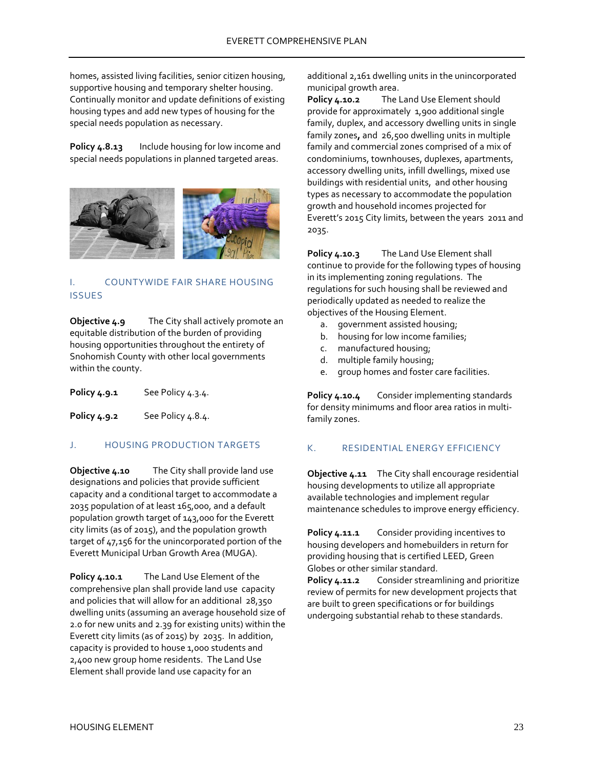homes, assisted living facilities, senior citizen housing, supportive housing and temporary shelter housing. Continually monitor and update definitions of existing housing types and add new types of housing for the special needs population as necessary.

**Policy 4.8.13** Include housing for low income and special needs populations in planned targeted areas.



## <span id="page-24-0"></span>COUNTYWIDE FAIR SHARE HOUSING ISSUES

**Objective 4.9** The City shall actively promote an equitable distribution of the burden of providing housing opportunities throughout the entirety of Snohomish County with other local governments within the county.

**Policy 4.9.1** See Policy 4.3.4.

<span id="page-24-1"></span>**Policy 4.9.2** See Policy 4.8.4.

### J. HOUSING PRODUCTION TARGETS

**Objective 4.10** The City shall provide land use designations and policies that provide sufficient capacity and a conditional target to accommodate a 2035 population of at least 165,000, and a default population growth target of 143,000 for the Everett city limits (as of 2015), and the population growth target of 47,156 for the unincorporated portion of the Everett Municipal Urban Growth Area (MUGA).

**Policy 4.10.1** The Land Use Element of the comprehensive plan shall provide land use capacity and policies that will allow for an additional 28,350 dwelling units (assuming an average household size of 2.0 for new units and 2.39 for existing units) within the Everett city limits (as of 2015) by 2035. In addition, capacity is provided to house 1,000 students and 2,400 new group home residents. The Land Use Element shall provide land use capacity for an

additional 2,161 dwelling units in the unincorporated municipal growth area.

**Policy 4.10.2** The Land Use Element should provide for approximately 1,900 additional single family, duplex, and accessory dwelling units in single family zones**,** and 26,500 dwelling units in multiple family and commercial zones comprised of a mix of condominiums, townhouses, duplexes, apartments, accessory dwelling units, infill dwellings, mixed use buildings with residential units, and other housing types as necessary to accommodate the population growth and household incomes projected for Everett's 2015 City limits, between the years 2011 and 2035.

**Policy 4.10.3** The Land Use Element shall continue to provide for the following types of housing in its implementing zoning regulations. The regulations for such housing shall be reviewed and periodically updated as needed to realize the objectives of the Housing Element.

- a. government assisted housing;
- b. housing for low income families;
- c. manufactured housing;
- d. multiple family housing;
- e. group homes and foster care facilities.

**Policy 4.10.4** Consider implementing standards for density minimums and floor area ratios in multifamily zones.

## <span id="page-24-2"></span>K. RESIDENTIAL ENERGY EFFICIENCY

**Objective 4.11** The City shall encourage residential housing developments to utilize all appropriate available technologies and implement regular maintenance schedules to improve energy efficiency.

**Policy 4.11.1** Consider providing incentives to housing developers and homebuilders in return for providing housing that is certified LEED, Green Globes or other similar standard.

**Policy 4.11.2** Consider streamlining and prioritize review of permits for new development projects that are built to green specifications or for buildings undergoing substantial rehab to these standards.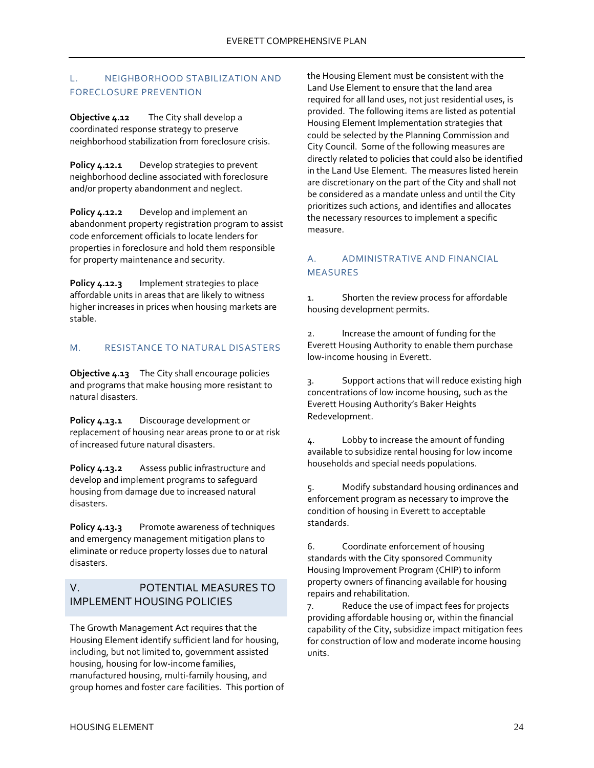## <span id="page-25-0"></span>L. NEIGHBORHOOD STABILIZATION AND FORECLOSURE PREVENTION

**Objective 4.12** The City shall develop a coordinated response strategy to preserve neighborhood stabilization from foreclosure crisis.

**Policy 4.12.1** Develop strategies to prevent neighborhood decline associated with foreclosure and/or property abandonment and neglect.

**Policy 4.12.2** Develop and implement an abandonment property registration program to assist code enforcement officials to locate lenders for properties in foreclosure and hold them responsible for property maintenance and security.

**Policy 4.12.3** Implement strategies to place affordable units in areas that are likely to witness higher increases in prices when housing markets are stable.

### <span id="page-25-1"></span>M. RESISTANCE TO NATURAL DISASTERS

**Objective 4.13** The City shall encourage policies and programs that make housing more resistant to natural disasters.

**Policy 4.13.1** Discourage development or replacement of housing near areas prone to or at risk of increased future natural disasters.

**Policy 4.13.2** Assess public infrastructure and develop and implement programs to safeguard housing from damage due to increased natural disasters.

**Policy 4.13.3** Promote awareness of techniques and emergency management mitigation plans to eliminate or reduce property losses due to natural disasters.

# <span id="page-25-2"></span>V. POTENTIAL MEASURES TO IMPLEMENT HOUSING POLICIES

The Growth Management Act requires that the Housing Element identify sufficient land for housing, including, but not limited to, government assisted housing, housing for low-income families, manufactured housing, multi-family housing, and group homes and foster care facilities. This portion of the Housing Element must be consistent with the Land Use Element to ensure that the land area required for all land uses, not just residential uses, is provided. The following items are listed as potential Housing Element Implementation strategies that could be selected by the Planning Commission and City Council. Some of the following measures are directly related to policies that could also be identified in the Land Use Element. The measures listed herein are discretionary on the part of the City and shall not be considered as a mandate unless and until the City prioritizes such actions, and identifies and allocates the necessary resources to implement a specific measure.

# <span id="page-25-3"></span>A. ADMINISTRATIVE AND FINANCIAL MEASURES

1. Shorten the review process for affordable housing development permits.

2. Increase the amount of funding for the Everett Housing Authority to enable them purchase low-income housing in Everett.

3. Support actions that will reduce existing high concentrations of low income housing, such as the Everett Housing Authority's Baker Heights Redevelopment.

4. Lobby to increase the amount of funding available to subsidize rental housing for low income households and special needs populations.

5. Modify substandard housing ordinances and enforcement program as necessary to improve the condition of housing in Everett to acceptable standards.

6. Coordinate enforcement of housing standards with the City sponsored Community Housing Improvement Program (CHIP) to inform property owners of financing available for housing repairs and rehabilitation.

7. Reduce the use of impact fees for projects providing affordable housing or, within the financial capability of the City, subsidize impact mitigation fees for construction of low and moderate income housing units.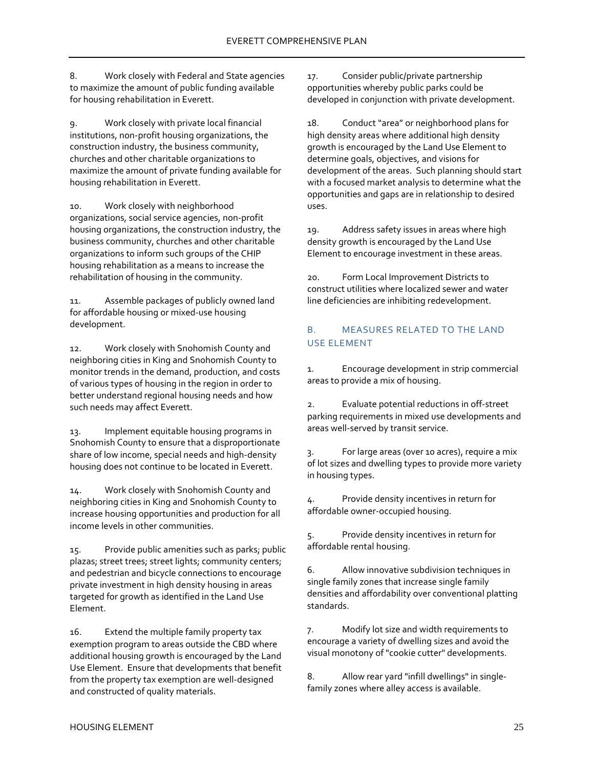8. Work closely with Federal and State agencies to maximize the amount of public funding available for housing rehabilitation in Everett.

9. Work closely with private local financial institutions, non-profit housing organizations, the construction industry, the business community, churches and other charitable organizations to maximize the amount of private funding available for housing rehabilitation in Everett.

10. Work closely with neighborhood organizations, social service agencies, non-profit housing organizations, the construction industry, the business community, churches and other charitable organizations to inform such groups of the CHIP housing rehabilitation as a means to increase the rehabilitation of housing in the community.

11. Assemble packages of publicly owned land for affordable housing or mixed-use housing development.

12. Work closely with Snohomish County and neighboring cities in King and Snohomish County to monitor trends in the demand, production, and costs of various types of housing in the region in order to better understand regional housing needs and how such needs may affect Everett.

13. Implement equitable housing programs in Snohomish County to ensure that a disproportionate share of low income, special needs and high-density housing does not continue to be located in Everett.

14. Work closely with Snohomish County and neighboring cities in King and Snohomish County to increase housing opportunities and production for all income levels in other communities.

15. Provide public amenities such as parks; public plazas; street trees; street lights; community centers; and pedestrian and bicycle connections to encourage private investment in high density housing in areas targeted for growth as identified in the Land Use Element.

16. Extend the multiple family property tax exemption program to areas outside the CBD where additional housing growth is encouraged by the Land Use Element. Ensure that developments that benefit from the property tax exemption are well-designed and constructed of quality materials.

17. Consider public/private partnership opportunities whereby public parks could be developed in conjunction with private development.

18. Conduct "area" or neighborhood plans for high density areas where additional high density growth is encouraged by the Land Use Element to determine goals, objectives, and visions for development of the areas. Such planning should start with a focused market analysis to determine what the opportunities and gaps are in relationship to desired uses.

19. Address safety issues in areas where high density growth is encouraged by the Land Use Element to encourage investment in these areas.

20. Form Local Improvement Districts to construct utilities where localized sewer and water line deficiencies are inhibiting redevelopment.

## <span id="page-26-0"></span>B. MEASURES RELATED TO THE LAND USE ELEMENT

1. Encourage development in strip commercial areas to provide a mix of housing.

2. Evaluate potential reductions in off-street parking requirements in mixed use developments and areas well-served by transit service.

3. For large areas (over 10 acres), require a mix of lot sizes and dwelling types to provide more variety in housing types.

4. Provide density incentives in return for affordable owner-occupied housing.

5. Provide density incentives in return for affordable rental housing.

6. Allow innovative subdivision techniques in single family zones that increase single family densities and affordability over conventional platting standards.

7. Modify lot size and width requirements to encourage a variety of dwelling sizes and avoid the visual monotony of "cookie cutter" developments.

8. Allow rear yard "infill dwellings" in singlefamily zones where alley access is available.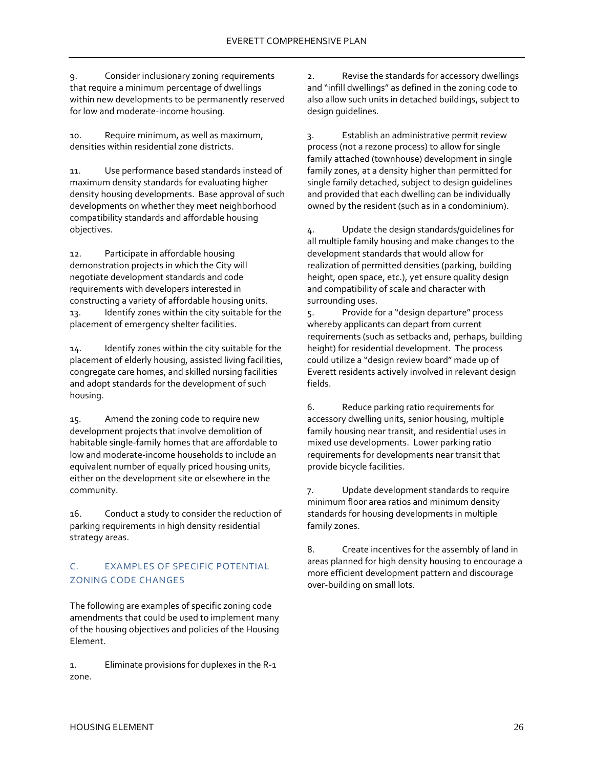9. Consider inclusionary zoning requirements that require a minimum percentage of dwellings within new developments to be permanently reserved for low and moderate-income housing.

10. Require minimum, as well as maximum, densities within residential zone districts.

11. Use performance based standards instead of maximum density standards for evaluating higher density housing developments. Base approval of such developments on whether they meet neighborhood compatibility standards and affordable housing objectives.

12. Participate in affordable housing demonstration projects in which the City will negotiate development standards and code requirements with developers interested in constructing a variety of affordable housing units. 13. Identify zones within the city suitable for the placement of emergency shelter facilities.

14. Identify zones within the city suitable for the placement of elderly housing, assisted living facilities, congregate care homes, and skilled nursing facilities and adopt standards for the development of such housing.

15. Amend the zoning code to require new development projects that involve demolition of habitable single-family homes that are affordable to low and moderate-income households to include an equivalent number of equally priced housing units, either on the development site or elsewhere in the community.

16. Conduct a study to consider the reduction of parking requirements in high density residential strategy areas.

# <span id="page-27-0"></span>C. EXAMPLES OF SPECIFIC POTENTIAL ZONING CODE CHANGES

The following are examples of specific zoning code amendments that could be used to implement many of the housing objectives and policies of the Housing Element.

1. Eliminate provisions for duplexes in the R-1 zone.

2. Revise the standards for accessory dwellings and "infill dwellings" as defined in the zoning code to also allow such units in detached buildings, subject to design guidelines.

3. Establish an administrative permit review process (not a rezone process) to allow for single family attached (townhouse) development in single family zones, at a density higher than permitted for single family detached, subject to design guidelines and provided that each dwelling can be individually owned by the resident (such as in a condominium).

4. Update the design standards/guidelines for all multiple family housing and make changes to the development standards that would allow for realization of permitted densities (parking, building height, open space, etc.), yet ensure quality design and compatibility of scale and character with surrounding uses.

5. Provide for a "design departure" process whereby applicants can depart from current requirements (such as setbacks and, perhaps, building height) for residential development. The process could utilize a "design review board" made up of Everett residents actively involved in relevant design fields.

6. Reduce parking ratio requirements for accessory dwelling units, senior housing, multiple family housing near transit, and residential uses in mixed use developments. Lower parking ratio requirements for developments near transit that provide bicycle facilities.

7. Update development standards to require minimum floor area ratios and minimum density standards for housing developments in multiple family zones.

8. Create incentives for the assembly of land in areas planned for high density housing to encourage a more efficient development pattern and discourage over-building on small lots.